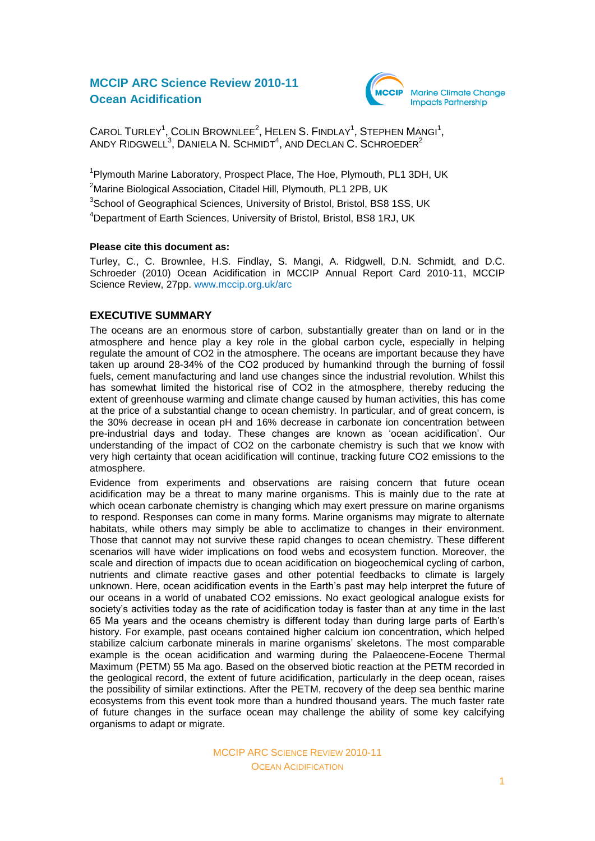# **MCCIP ARC Science Review 2010-11 Ocean Acidification**



 $C$ AROL TURLEY<sup>1</sup>, COLIN BROWNLEE<sup>2</sup>, HELEN S. FINDLAY<sup>1</sup>, STEPHEN MANGI<sup>1</sup>, ANDY RIDGWELL<sup>3</sup>, DANIELA N. SCHMIDT<sup>4</sup>, AND DECLAN C. SCHROEDER<sup>2</sup>

<sup>1</sup>Plymouth Marine Laboratory, Prospect Place, The Hoe, Plymouth, PL1 3DH, UK <sup>2</sup>Marine Biological Association, Citadel Hill, Plymouth, PL1 2PB, UK <sup>3</sup>School of Geographical Sciences, University of Bristol, Bristol, BS8 1SS, UK <sup>4</sup>Department of Earth Sciences, University of Bristol, Bristol, BS8 1RJ, UK

### **Please cite this document as:**

Turley, C., C. Brownlee, H.S. Findlay, S. Mangi, A. Ridgwell, D.N. Schmidt, and D.C. Schroeder (2010) Ocean Acidification in MCCIP Annual Report Card 2010-11, MCCIP Science Review, 27pp. [www.mccip.org.uk/arc](http://www.mccip.org.uk/arc)

## **EXECUTIVE SUMMARY**

The oceans are an enormous store of carbon, substantially greater than on land or in the atmosphere and hence play a key role in the global carbon cycle, especially in helping regulate the amount of CO2 in the atmosphere. The oceans are important because they have taken up around 28-34% of the CO2 produced by humankind through the burning of fossil fuels, cement manufacturing and land use changes since the industrial revolution. Whilst this has somewhat limited the historical rise of CO2 in the atmosphere, thereby reducing the extent of greenhouse warming and climate change caused by human activities, this has come at the price of a substantial change to ocean chemistry. In particular, and of great concern, is the 30% decrease in ocean pH and 16% decrease in carbonate ion concentration between pre-industrial days and today. These changes are known as "ocean acidification". Our understanding of the impact of CO2 on the carbonate chemistry is such that we know with very high certainty that ocean acidification will continue, tracking future CO2 emissions to the atmosphere.

Evidence from experiments and observations are raising concern that future ocean acidification may be a threat to many marine organisms. This is mainly due to the rate at which ocean carbonate chemistry is changing which may exert pressure on marine organisms to respond. Responses can come in many forms. Marine organisms may migrate to alternate habitats, while others may simply be able to acclimatize to changes in their environment. Those that cannot may not survive these rapid changes to ocean chemistry. These different scenarios will have wider implications on food webs and ecosystem function. Moreover, the scale and direction of impacts due to ocean acidification on biogeochemical cycling of carbon, nutrients and climate reactive gases and other potential feedbacks to climate is largely unknown. Here, ocean acidification events in the Earth's past may help interpret the future of our oceans in a world of unabated CO2 emissions. No exact geological analogue exists for society's activities today as the rate of acidification today is faster than at any time in the last 65 Ma years and the oceans chemistry is different today than during large parts of Earth"s history. For example, past oceans contained higher calcium ion concentration, which helped stabilize calcium carbonate minerals in marine organisms" skeletons. The most comparable example is the ocean acidification and warming during the Palaeocene-Eocene Thermal Maximum (PETM) 55 Ma ago. Based on the observed biotic reaction at the PETM recorded in the geological record, the extent of future acidification, particularly in the deep ocean, raises the possibility of similar extinctions. After the PETM, recovery of the deep sea benthic marine ecosystems from this event took more than a hundred thousand years. The much faster rate of future changes in the surface ocean may challenge the ability of some key calcifying organisms to adapt or migrate.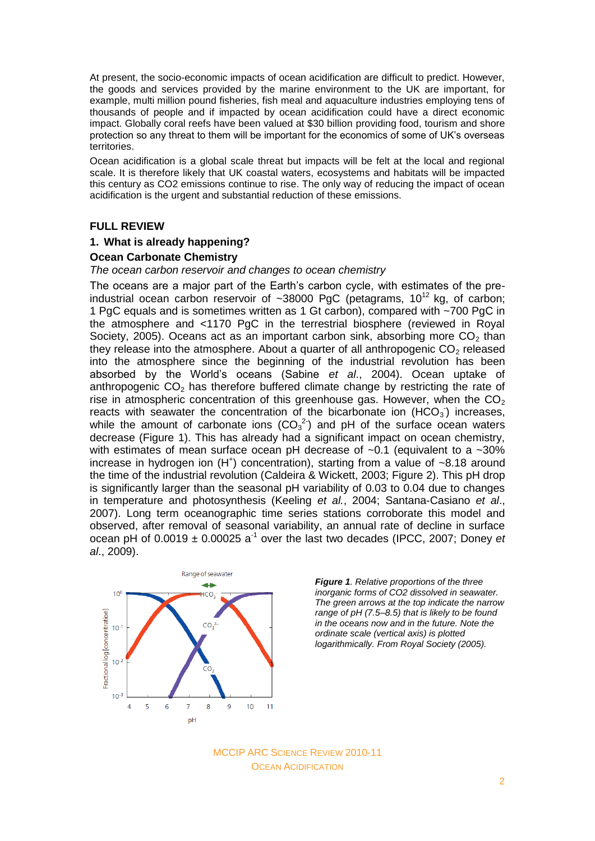At present, the socio-economic impacts of ocean acidification are difficult to predict. However, the goods and services provided by the marine environment to the UK are important, for example, multi million pound fisheries, fish meal and aquaculture industries employing tens of thousands of people and if impacted by ocean acidification could have a direct economic impact. Globally coral reefs have been valued at \$30 billion providing food, tourism and shore protection so any threat to them will be important for the economics of some of UK"s overseas territories.

Ocean acidification is a global scale threat but impacts will be felt at the local and regional scale. It is therefore likely that UK coastal waters, ecosystems and habitats will be impacted this century as CO2 emissions continue to rise. The only way of reducing the impact of ocean acidification is the urgent and substantial reduction of these emissions.

## **FULL REVIEW**

#### **1. What is already happening?**

#### **Ocean Carbonate Chemistry**

#### *The ocean carbon reservoir and changes to ocean chemistry*

The oceans are a major part of the Earth"s carbon cycle, with estimates of the preindustrial ocean carbon reservoir of  $\sim 38000$  PgC (petagrams, 10<sup>12</sup> kg, of carbon; 1 PgC equals and is sometimes written as 1 Gt carbon), compared with ~700 PgC in the atmosphere and <1170 PgC in the terrestrial biosphere (reviewed in Royal Society, 2005). Oceans act as an important carbon sink, absorbing more  $CO<sub>2</sub>$  than they release into the atmosphere. About a quarter of all anthropogenic  $CO<sub>2</sub>$  released into the atmosphere since the beginning of the industrial revolution has been absorbed by the World"s oceans (Sabine *et al*., 2004). Ocean uptake of anthropogenic  $CO<sub>2</sub>$  has therefore buffered climate change by restricting the rate of rise in atmospheric concentration of this greenhouse gas. However, when the  $CO<sub>2</sub>$ reacts with seawater the concentration of the bicarbonate ion  $(HCO<sub>3</sub>)$  increases, while the amount of carbonate ions  $(CO_3^2)$  and pH of the surface ocean waters decrease (Figure 1). This has already had a significant impact on ocean chemistry, with estimates of mean surface ocean pH decrease of ~0.1 (equivalent to a ~30% increase in hydrogen ion  $(H<sup>+</sup>)$  concentration), starting from a value of ~8.18 around the time of the industrial revolution (Caldeira & Wickett, 2003; Figure 2). This pH drop is significantly larger than the seasonal pH variability of 0.03 to 0.04 due to changes in temperature and photosynthesis (Keeling *et al.*, 2004; Santana-Casiano *et al*., 2007). Long term oceanographic time series stations corroborate this model and observed, after removal of seasonal variability, an annual rate of decline in surface ocean pH of  $0.0019 \pm 0.00025$  a<sup>-1</sup> over the last two decades (IPCC, 2007; Doney *et al*., 2009).



*Figure 1. Relative proportions of the three inorganic forms of CO2 dissolved in seawater. The green arrows at the top indicate the narrow range of pH (7.5–8.5) that is likely to be found in the oceans now and in the future. Note the ordinate scale (vertical axis) is plotted logarithmically. From Royal Society (2005).*

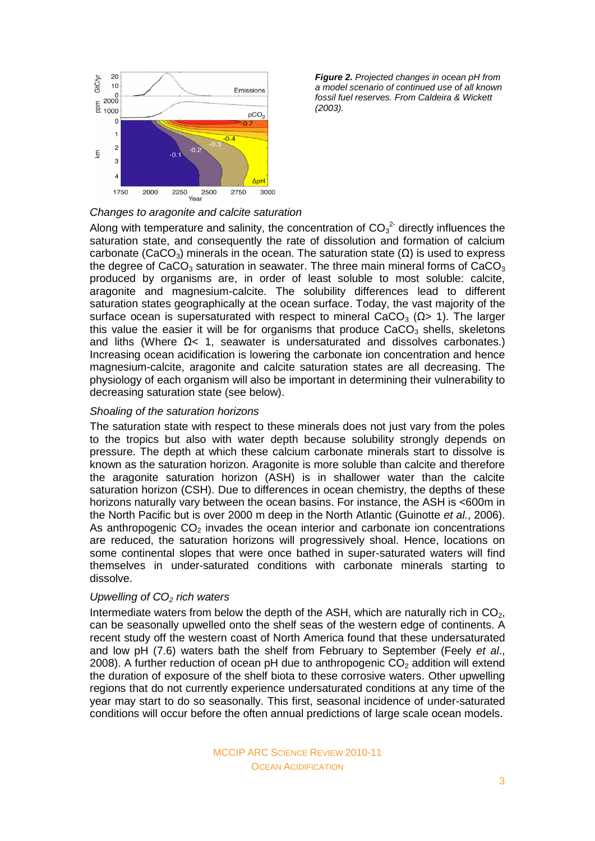

*Figure 2. Projected changes in ocean pH from a model scenario of continued use of all known fossil fuel reserves. From Caldeira & Wickett (2003).*

# *Changes to aragonite and calcite saturation*

Along with temperature and salinity, the concentration of  $CO<sub>3</sub><sup>2</sup>$  directly influences the saturation state, and consequently the rate of dissolution and formation of calcium carbonate (CaCO<sub>3</sub>) minerals in the ocean. The saturation state ( $\Omega$ ) is used to express the degree of CaCO<sub>3</sub> saturation in seawater. The three main mineral forms of CaCO<sub>3</sub> produced by organisms are, in order of least soluble to most soluble: calcite, aragonite and magnesium-calcite. The solubility differences lead to different saturation states geographically at the ocean surface. Today, the vast majority of the surface ocean is supersaturated with respect to mineral CaCO<sub>3</sub> ( $\Omega$ > 1). The larger this value the easier it will be for organisms that produce  $CaCO<sub>3</sub>$  shells, skeletons and liths (Where  $\Omega$ < 1, seawater is undersaturated and dissolves carbonates.) Increasing ocean acidification is lowering the carbonate ion concentration and hence magnesium-calcite, aragonite and calcite saturation states are all decreasing. The physiology of each organism will also be important in determining their vulnerability to decreasing saturation state (see below).

### *Shoaling of the saturation horizons*

The saturation state with respect to these minerals does not just vary from the poles to the tropics but also with water depth because solubility strongly depends on pressure. The depth at which these calcium carbonate minerals start to dissolve is known as the saturation horizon. Aragonite is more soluble than calcite and therefore the aragonite saturation horizon (ASH) is in shallower water than the calcite saturation horizon (CSH). Due to differences in ocean chemistry, the depths of these horizons naturally vary between the ocean basins. For instance, the ASH is <600m in the North Pacific but is over 2000 m deep in the North Atlantic (Guinotte *et al.*, 2006). As anthropogenic  $CO<sub>2</sub>$  invades the ocean interior and carbonate ion concentrations are reduced, the saturation horizons will progressively shoal. Hence, locations on some continental slopes that were once bathed in super-saturated waters will find themselves in under-saturated conditions with carbonate minerals starting to dissolve.

### *Upwelling of CO<sup>2</sup> rich waters*

Intermediate waters from below the depth of the ASH, which are naturally rich in  $CO<sub>2</sub>$ , can be seasonally upwelled onto the shelf seas of the western edge of continents. A recent study off the western coast of North America found that these undersaturated and low pH (7.6) waters bath the shelf from February to September (Feely *et al*., 2008). A further reduction of ocean pH due to anthropogenic  $CO<sub>2</sub>$  addition will extend the duration of exposure of the shelf biota to these corrosive waters. Other upwelling regions that do not currently experience undersaturated conditions at any time of the year may start to do so seasonally. This first, seasonal incidence of under-saturated conditions will occur before the often annual predictions of large scale ocean models.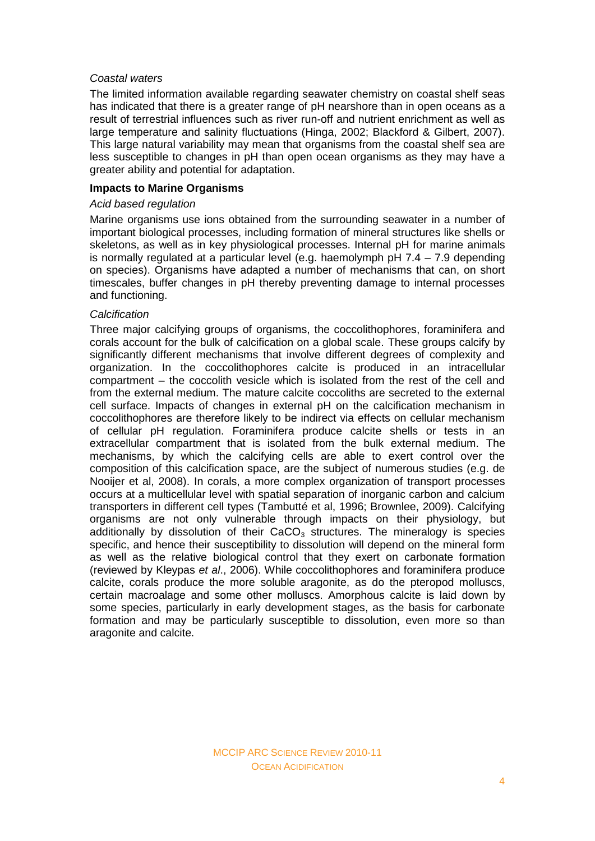## *Coastal waters*

The limited information available regarding seawater chemistry on coastal shelf seas has indicated that there is a greater range of pH nearshore than in open oceans as a result of terrestrial influences such as river run-off and nutrient enrichment as well as large temperature and salinity fluctuations (Hinga, 2002; Blackford & Gilbert, 2007). This large natural variability may mean that organisms from the coastal shelf sea are less susceptible to changes in pH than open ocean organisms as they may have a greater ability and potential for adaptation.

## **Impacts to Marine Organisms**

## *Acid based regulation*

Marine organisms use ions obtained from the surrounding seawater in a number of important biological processes, including formation of mineral structures like shells or skeletons, as well as in key physiological processes. Internal pH for marine animals is normally regulated at a particular level (e.g. haemolymph pH 7.4 – 7.9 depending on species). Organisms have adapted a number of mechanisms that can, on short timescales, buffer changes in pH thereby preventing damage to internal processes and functioning.

## *Calcification*

Three major calcifying groups of organisms, the coccolithophores, foraminifera and corals account for the bulk of calcification on a global scale. These groups calcify by significantly different mechanisms that involve different degrees of complexity and organization. In the coccolithophores calcite is produced in an intracellular compartment – the coccolith vesicle which is isolated from the rest of the cell and from the external medium. The mature calcite coccoliths are secreted to the external cell surface. Impacts of changes in external pH on the calcification mechanism in coccolithophores are therefore likely to be indirect via effects on cellular mechanism of cellular pH regulation. Foraminifera produce calcite shells or tests in an extracellular compartment that is isolated from the bulk external medium. The mechanisms, by which the calcifying cells are able to exert control over the composition of this calcification space, are the subject of numerous studies (e.g. de Nooijer et al, 2008). In corals, a more complex organization of transport processes occurs at a multicellular level with spatial separation of inorganic carbon and calcium transporters in different cell types (Tambutté et al, 1996; Brownlee, 2009). Calcifying organisms are not only vulnerable through impacts on their physiology, but additionally by dissolution of their  $CaCO<sub>3</sub>$  structures. The mineralogy is species specific, and hence their susceptibility to dissolution will depend on the mineral form as well as the relative biological control that they exert on carbonate formation (reviewed by Kleypas *et al*., 2006). While coccolithophores and foraminifera produce calcite, corals produce the more soluble aragonite, as do the pteropod molluscs, certain macroalage and some other molluscs. Amorphous calcite is laid down by some species, particularly in early development stages, as the basis for carbonate formation and may be particularly susceptible to dissolution, even more so than aragonite and calcite.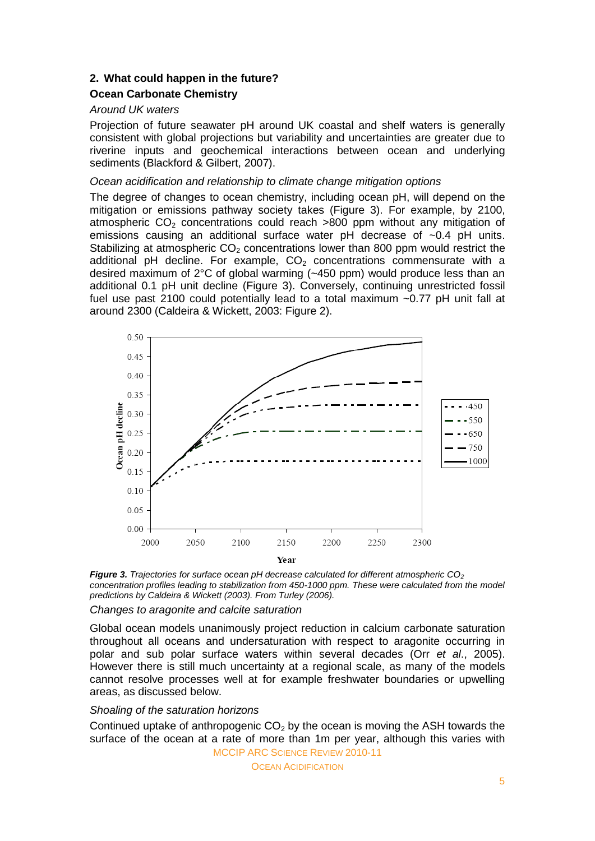# **2. What could happen in the future?**

# **Ocean Carbonate Chemistry**

## *Around UK waters*

Projection of future seawater pH around UK coastal and shelf waters is generally consistent with global projections but variability and uncertainties are greater due to riverine inputs and geochemical interactions between ocean and underlying sediments (Blackford & Gilbert, 2007).

## *Ocean acidification and relationship to climate change mitigation options*

The degree of changes to ocean chemistry, including ocean pH, will depend on the mitigation or emissions pathway society takes (Figure 3). For example, by 2100, atmospheric  $CO<sub>2</sub>$  concentrations could reach  $>800$  ppm without any mitigation of emissions causing an additional surface water pH decrease of ~0.4 pH units. Stabilizing at atmospheric  $CO<sub>2</sub>$  concentrations lower than 800 ppm would restrict the additional pH decline. For example,  $CO<sub>2</sub>$  concentrations commensurate with a desired maximum of 2°C of global warming (~450 ppm) would produce less than an additional 0.1 pH unit decline (Figure 3). Conversely, continuing unrestricted fossil fuel use past 2100 could potentially lead to a total maximum ~0.77 pH unit fall at around 2300 (Caldeira & Wickett, 2003: Figure 2).



*Figure 3. Trajectories for surface ocean pH decrease calculated for different atmospheric CO<sup>2</sup> concentration profiles leading to stabilization from 450-1000 ppm. These were calculated from the model predictions by Caldeira & Wickett (2003). From Turley (2006).*

### *Changes to aragonite and calcite saturation*

Global ocean models unanimously project reduction in calcium carbonate saturation throughout all oceans and undersaturation with respect to aragonite occurring in polar and sub polar surface waters within several decades (Orr *et al*., 2005). However there is still much uncertainty at a regional scale, as many of the models cannot resolve processes well at for example freshwater boundaries or upwelling areas, as discussed below.

## *Shoaling of the saturation horizons*

MCCIP ARC SCIENCE REVIEW 2010-11 Continued uptake of anthropogenic  $CO<sub>2</sub>$  by the ocean is moving the ASH towards the surface of the ocean at a rate of more than 1m per year, although this varies with

**OCEAN ACIDIFICATION**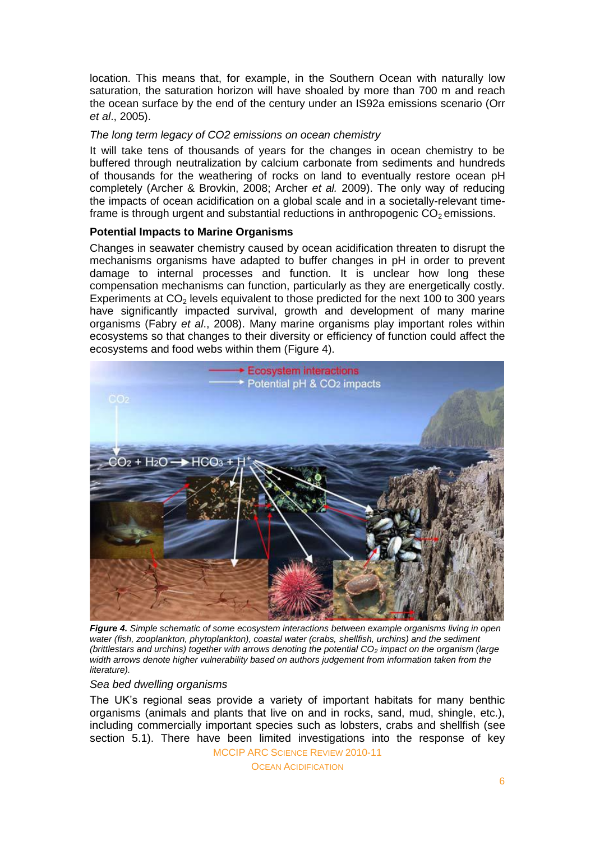location. This means that, for example, in the Southern Ocean with naturally low saturation, the saturation horizon will have shoaled by more than 700 m and reach the ocean surface by the end of the century under an IS92a emissions scenario (Orr *et al*., 2005).

## *The long term legacy of CO2 emissions on ocean chemistry*

It will take tens of thousands of years for the changes in ocean chemistry to be buffered through neutralization by calcium carbonate from sediments and hundreds of thousands for the weathering of rocks on land to eventually restore ocean pH completely (Archer & Brovkin, 2008; Archer *et al.* 2009). The only way of reducing the impacts of ocean acidification on a global scale and in a societally-relevant timeframe is through urgent and substantial reductions in anthropogenic  $CO<sub>2</sub>$  emissions.

### **Potential Impacts to Marine Organisms**

Changes in seawater chemistry caused by ocean acidification threaten to disrupt the mechanisms organisms have adapted to buffer changes in pH in order to prevent damage to internal processes and function. It is unclear how long these compensation mechanisms can function, particularly as they are energetically costly. Experiments at  $CO<sub>2</sub>$  levels equivalent to those predicted for the next 100 to 300 years have significantly impacted survival, growth and development of many marine organisms (Fabry *et al*., 2008). Many marine organisms play important roles within ecosystems so that changes to their diversity or efficiency of function could affect the ecosystems and food webs within them (Figure 4).



*Figure 4. Simple schematic of some ecosystem interactions between example organisms living in open water (fish, zooplankton, phytoplankton), coastal water (crabs, shellfish, urchins) and the sediment (brittlestars and urchins) together with arrows denoting the potential CO<sup>2</sup> impact on the organism (large width arrows denote higher vulnerability based on authors judgement from information taken from the literature).*

### *Sea bed dwelling organisms*

The UK"s regional seas provide a variety of important habitats for many benthic organisms (animals and plants that live on and in rocks, sand, mud, shingle, etc.), including commercially important species such as lobsters, crabs and shellfish (see section 5.1). There have been limited investigations into the response of key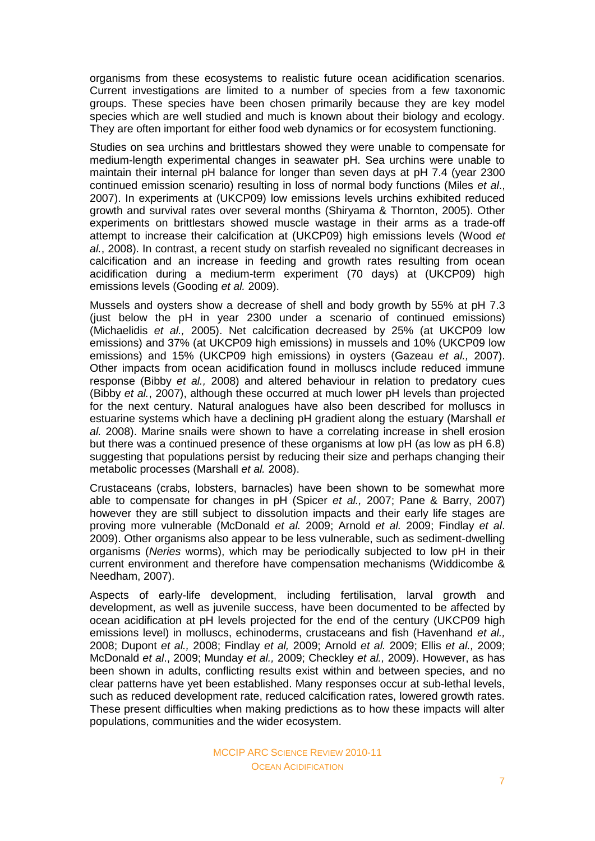organisms from these ecosystems to realistic future ocean acidification scenarios. Current investigations are limited to a number of species from a few taxonomic groups. These species have been chosen primarily because they are key model species which are well studied and much is known about their biology and ecology. They are often important for either food web dynamics or for ecosystem functioning.

Studies on sea urchins and brittlestars showed they were unable to compensate for medium-length experimental changes in seawater pH. Sea urchins were unable to maintain their internal pH balance for longer than seven days at pH 7.4 (year 2300 continued emission scenario) resulting in loss of normal body functions (Miles *et al*., 2007). In experiments at (UKCP09) low emissions levels urchins exhibited reduced growth and survival rates over several months (Shiryama & Thornton, 2005). Other experiments on brittlestars showed muscle wastage in their arms as a trade-off attempt to increase their calcification at (UKCP09) high emissions levels (Wood *et al.*, 2008). In contrast, a recent study on starfish revealed no significant decreases in calcification and an increase in feeding and growth rates resulting from ocean acidification during a medium-term experiment (70 days) at (UKCP09) high emissions levels (Gooding *et al.* 2009).

Mussels and oysters show a decrease of shell and body growth by 55% at pH 7.3 (just below the pH in year 2300 under a scenario of continued emissions) (Michaelidis *et al.,* 2005). Net calcification decreased by 25% (at UKCP09 low emissions) and 37% (at UKCP09 high emissions) in mussels and 10% (UKCP09 low emissions) and 15% (UKCP09 high emissions) in oysters (Gazeau *et al.,* 2007). Other impacts from ocean acidification found in molluscs include reduced immune response (Bibby *et al.,* 2008) and altered behaviour in relation to predatory cues (Bibby *et al.*, 2007), although these occurred at much lower pH levels than projected for the next century. Natural analogues have also been described for molluscs in estuarine systems which have a declining pH gradient along the estuary (Marshall *et al.* 2008). Marine snails were shown to have a correlating increase in shell erosion but there was a continued presence of these organisms at low pH (as low as pH 6.8) suggesting that populations persist by reducing their size and perhaps changing their metabolic processes (Marshall *et al.* 2008).

Crustaceans (crabs, lobsters, barnacles) have been shown to be somewhat more able to compensate for changes in pH (Spicer *et al.,* 2007; Pane & Barry, 2007) however they are still subject to dissolution impacts and their early life stages are proving more vulnerable (McDonald *et al.* 2009; Arnold *et al.* 2009; Findlay *et al*. 2009). Other organisms also appear to be less vulnerable, such as sediment-dwelling organisms (*Neries* worms), which may be periodically subjected to low pH in their current environment and therefore have compensation mechanisms (Widdicombe & Needham, 2007).

Aspects of early-life development, including fertilisation, larval growth and development, as well as juvenile success, have been documented to be affected by ocean acidification at pH levels projected for the end of the century (UKCP09 high emissions level) in molluscs, echinoderms, crustaceans and fish (Havenhand *et al.,* 2008; Dupont *et al.,* 2008; Findlay *et al,* 2009; Arnold *et al.* 2009; Ellis *et al.,* 2009; McDonald *et al*., 2009; Munday *et al.,* 2009; Checkley *et al.,* 2009). However, as has been shown in adults, conflicting results exist within and between species, and no clear patterns have yet been established. Many responses occur at sub-lethal levels, such as reduced development rate, reduced calcification rates, lowered growth rates. These present difficulties when making predictions as to how these impacts will alter populations, communities and the wider ecosystem.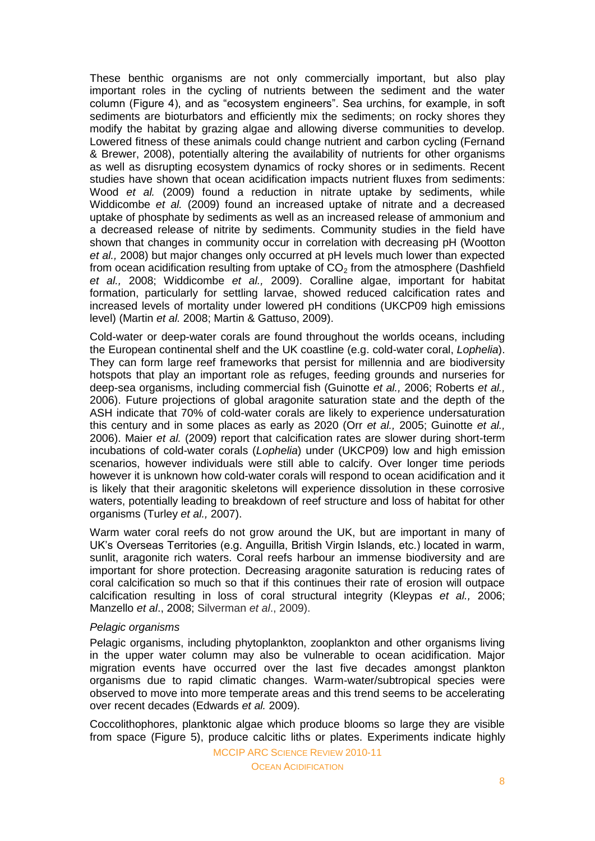These benthic organisms are not only commercially important, but also play important roles in the cycling of nutrients between the sediment and the water column (Figure 4), and as "ecosystem engineers". Sea urchins, for example, in soft sediments are bioturbators and efficiently mix the sediments; on rocky shores they modify the habitat by grazing algae and allowing diverse communities to develop. Lowered fitness of these animals could change nutrient and carbon cycling (Fernand & Brewer, 2008), potentially altering the availability of nutrients for other organisms as well as disrupting ecosystem dynamics of rocky shores or in sediments. Recent studies have shown that ocean acidification impacts nutrient fluxes from sediments: Wood *et al.* (2009) found a reduction in nitrate uptake by sediments, while Widdicombe *et al.* (2009) found an increased uptake of nitrate and a decreased uptake of phosphate by sediments as well as an increased release of ammonium and a decreased release of nitrite by sediments. Community studies in the field have shown that changes in community occur in correlation with decreasing pH (Wootton *et al.,* 2008) but major changes only occurred at pH levels much lower than expected from ocean acidification resulting from uptake of  $CO<sub>2</sub>$  from the atmosphere (Dashfield *et al.,* 2008; Widdicombe *et al.,* 2009). Coralline algae, important for habitat formation, particularly for settling larvae, showed reduced calcification rates and increased levels of mortality under lowered pH conditions (UKCP09 high emissions level) (Martin *et al.* 2008; Martin & Gattuso, 2009).

Cold-water or deep-water corals are found throughout the worlds oceans, including the European continental shelf and the UK coastline (e.g. cold-water coral, *Lophelia*). They can form large reef frameworks that persist for millennia and are biodiversity hotspots that play an important role as refuges, feeding grounds and nurseries for deep-sea organisms, including commercial fish (Guinotte *et al.,* 2006; Roberts *et al.,* 2006). Future projections of global aragonite saturation state and the depth of the ASH indicate that 70% of cold-water corals are likely to experience undersaturation this century and in some places as early as 2020 (Orr *et al.,* 2005; Guinotte *et al.,* 2006). Maier *et al.* (2009) report that calcification rates are slower during short-term incubations of cold-water corals (*Lophelia*) under (UKCP09) low and high emission scenarios, however individuals were still able to calcify. Over longer time periods however it is unknown how cold-water corals will respond to ocean acidification and it is likely that their aragonitic skeletons will experience dissolution in these corrosive waters, potentially leading to breakdown of reef structure and loss of habitat for other organisms (Turley *et al.,* 2007).

Warm water coral reefs do not grow around the UK, but are important in many of UK"s Overseas Territories (e.g. Anguilla, British Virgin Islands, etc.) located in warm, sunlit, aragonite rich waters. Coral reefs harbour an immense biodiversity and are important for shore protection. Decreasing aragonite saturation is reducing rates of coral calcification so much so that if this continues their rate of erosion will outpace calcification resulting in loss of coral structural integrity (Kleypas *et al.,* 2006; Manzello *et al*., 2008; Silverman *et al*., 2009).

### *Pelagic organisms*

Pelagic organisms, including phytoplankton, zooplankton and other organisms living in the upper water column may also be vulnerable to ocean acidification. Major migration events have occurred over the last five decades amongst plankton organisms due to rapid climatic changes. Warm-water/subtropical species were observed to move into more temperate areas and this trend seems to be accelerating over recent decades (Edwards *et al.* 2009).

Coccolithophores, planktonic algae which produce blooms so large they are visible from space (Figure 5), produce calcitic liths or plates. Experiments indicate highly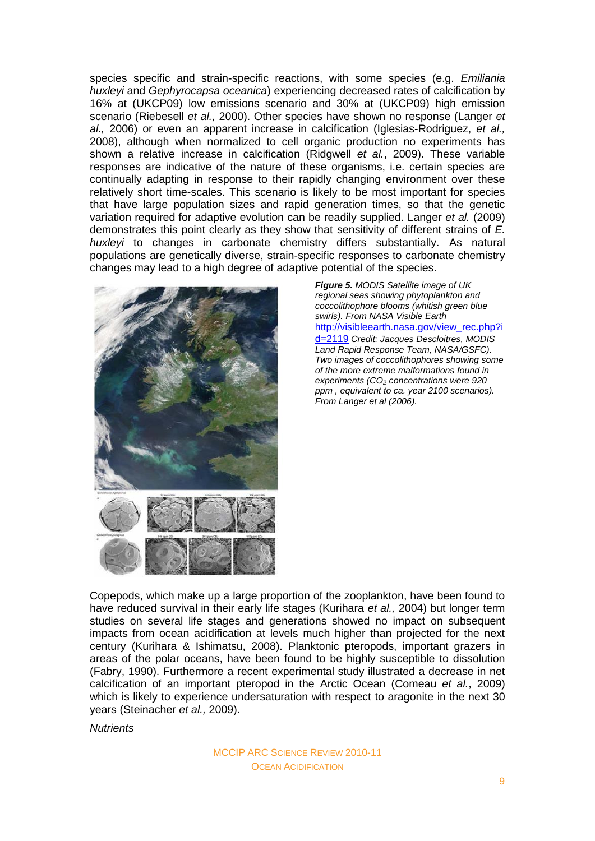species specific and strain-specific reactions, with some species (e.g. *Emiliania huxleyi* and *Gephyrocapsa oceanica*) experiencing decreased rates of calcification by 16% at (UKCP09) low emissions scenario and 30% at (UKCP09) high emission scenario (Riebesell *et al.,* 2000). Other species have shown no response (Langer *et al.,* 2006) or even an apparent increase in calcification (Iglesias-Rodriguez, *et al.,* 2008), although when normalized to cell organic production no experiments has shown a relative increase in calcification (Ridgwell *et al.*, 2009). These variable responses are indicative of the nature of these organisms, i.e. certain species are continually adapting in response to their rapidly changing environment over these relatively short time-scales. This scenario is likely to be most important for species that have large population sizes and rapid generation times, so that the genetic variation required for adaptive evolution can be readily supplied. Langer *et al.* (2009) demonstrates this point clearly as they show that sensitivity of different strains of *E. huxleyi* to changes in carbonate chemistry differs substantially. As natural populations are genetically diverse, strain-specific responses to carbonate chemistry changes may lead to a high degree of adaptive potential of the species.



*Figure 5. MODIS Satellite image of UK regional seas showing phytoplankton and coccolithophore blooms (whitish green blue swirls). From NASA Visible Earth*  [http://visibleearth.nasa.gov/view\\_rec.php?i](http://visibleearth.nasa.gov/view_rec.php?id=2119) [d=2119](http://visibleearth.nasa.gov/view_rec.php?id=2119) *Credit: Jacques Descloitres, MODIS Land Rapid Response Team, NASA/GSFC). Two images of coccolithophores showing some of the more extreme malformations found in experiments (CO<sup>2</sup> concentrations were 920 ppm , equivalent to ca. year 2100 scenarios). From Langer et al (2006).*

Copepods, which make up a large proportion of the zooplankton, have been found to have reduced survival in their early life stages (Kurihara *et al.,* 2004) but longer term studies on several life stages and generations showed no impact on subsequent impacts from ocean acidification at levels much higher than projected for the next century (Kurihara & Ishimatsu, 2008). Planktonic pteropods, important grazers in areas of the polar oceans, have been found to be highly susceptible to dissolution (Fabry, 1990). Furthermore a recent experimental study illustrated a decrease in net calcification of an important pteropod in the Arctic Ocean (Comeau *et al.*, 2009) which is likely to experience undersaturation with respect to aragonite in the next 30 years (Steinacher *et al.,* 2009).

*Nutrients*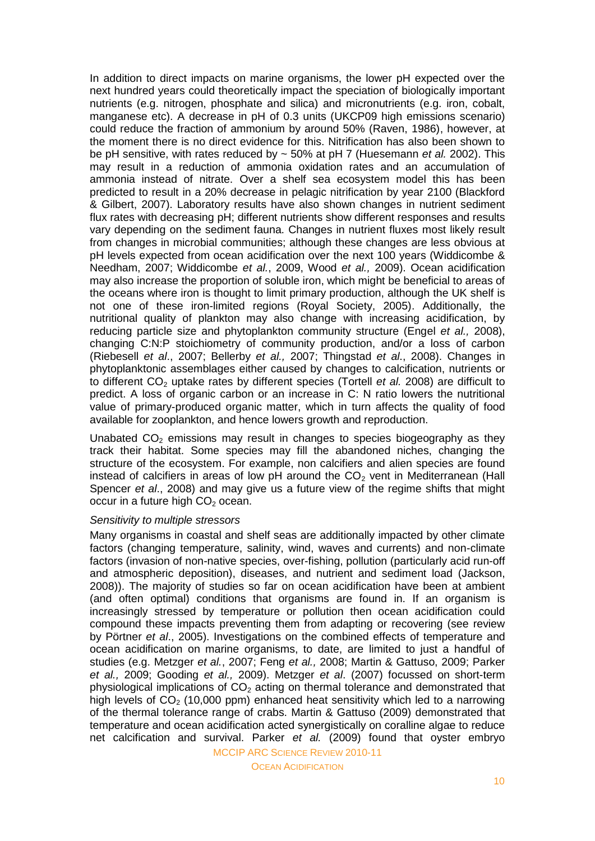In addition to direct impacts on marine organisms, the lower pH expected over the next hundred years could theoretically impact the speciation of biologically important nutrients (e.g. nitrogen, phosphate and silica) and micronutrients (e.g. iron, cobalt, manganese etc). A decrease in pH of 0.3 units (UKCP09 high emissions scenario) could reduce the fraction of ammonium by around 50% (Raven, 1986), however, at the moment there is no direct evidence for this. Nitrification has also been shown to be pH sensitive, with rates reduced by ~ 50% at pH 7 (Huesemann *et al.* 2002). This may result in a reduction of ammonia oxidation rates and an accumulation of ammonia instead of nitrate. Over a shelf sea ecosystem model this has been predicted to result in a 20% decrease in pelagic nitrification by year 2100 (Blackford & Gilbert, 2007). Laboratory results have also shown changes in nutrient sediment flux rates with decreasing pH; different nutrients show different responses and results vary depending on the sediment fauna. Changes in nutrient fluxes most likely result from changes in microbial communities; although these changes are less obvious at pH levels expected from ocean acidification over the next 100 years (Widdicombe & Needham, 2007; Widdicombe *et al.*, 2009, Wood *et al.,* 2009). Ocean acidification may also increase the proportion of soluble iron, which might be beneficial to areas of the oceans where iron is thought to limit primary production, although the UK shelf is not one of these iron-limited regions (Royal Society, 2005). Additionally, the nutritional quality of plankton may also change with increasing acidification, by reducing particle size and phytoplankton community structure (Engel *et al.,* 2008), changing C:N:P stoichiometry of community production, and/or a loss of carbon (Riebesell *et al*., 2007; Bellerby *et al.,* 2007; Thingstad *et al*., 2008). Changes in phytoplanktonic assemblages either caused by changes to calcification, nutrients or to different CO<sub>2</sub> uptake rates by different species (Tortell *et al.* 2008) are difficult to predict. A loss of organic carbon or an increase in C: N ratio lowers the nutritional value of primary-produced organic matter, which in turn affects the quality of food available for zooplankton, and hence lowers growth and reproduction.

Unabated  $CO<sub>2</sub>$  emissions may result in changes to species biogeography as they track their habitat. Some species may fill the abandoned niches, changing the structure of the ecosystem. For example, non calcifiers and alien species are found instead of calcifiers in areas of low  $p$ H around the  $CO<sub>2</sub>$  vent in Mediterranean (Hall Spencer *et al*., 2008) and may give us a future view of the regime shifts that might occur in a future high  $CO<sub>2</sub>$  ocean.

#### *Sensitivity to multiple stressors*

Many organisms in coastal and shelf seas are additionally impacted by other climate factors (changing temperature, salinity, wind, waves and currents) and non-climate factors (invasion of non-native species, over-fishing, pollution (particularly acid run-off and atmospheric deposition), diseases, and nutrient and sediment load (Jackson, 2008)). The majority of studies so far on ocean acidification have been at ambient (and often optimal) conditions that organisms are found in. If an organism is increasingly stressed by temperature or pollution then ocean acidification could compound these impacts preventing them from adapting or recovering (see review by Pörtner *et al*., 2005). Investigations on the combined effects of temperature and ocean acidification on marine organisms, to date, are limited to just a handful of studies (e.g. Metzger *et al.*, 2007; Feng *et al.,* 2008; Martin & Gattuso, 2009; Parker *et al.,* 2009; Gooding *et al.,* 2009). Metzger *et al*. (2007) focussed on short-term physiological implications of  $CO<sub>2</sub>$  acting on thermal tolerance and demonstrated that high levels of  $CO<sub>2</sub>$  (10,000 ppm) enhanced heat sensitivity which led to a narrowing of the thermal tolerance range of crabs. Martin & Gattuso (2009) demonstrated that temperature and ocean acidification acted synergistically on coralline algae to reduce net calcification and survival. Parker *et al.* (2009) found that oyster embryo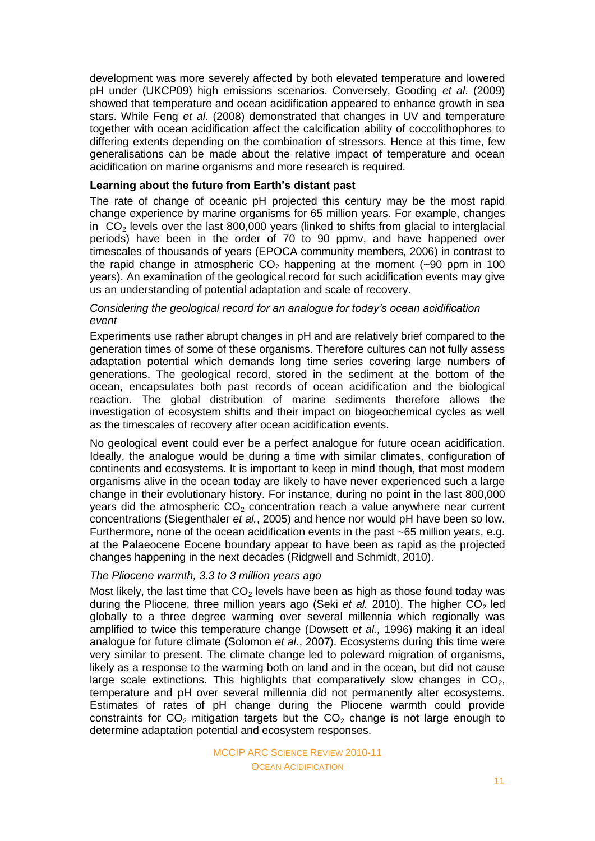development was more severely affected by both elevated temperature and lowered pH under (UKCP09) high emissions scenarios. Conversely, Gooding *et al*. (2009) showed that temperature and ocean acidification appeared to enhance growth in sea stars. While Feng *et al*. (2008) demonstrated that changes in UV and temperature together with ocean acidification affect the calcification ability of coccolithophores to differing extents depending on the combination of stressors. Hence at this time, few generalisations can be made about the relative impact of temperature and ocean acidification on marine organisms and more research is required.

#### **Learning about the future from Earth's distant past**

The rate of change of oceanic pH projected this century may be the most rapid change experience by marine organisms for 65 million years. For example, changes in  $CO<sub>2</sub>$  levels over the last 800,000 years (linked to shifts from glacial to interglacial periods) have been in the order of 70 to 90 ppmv, and have happened over timescales of thousands of years (EPOCA community members, 2006) in contrast to the rapid change in atmospheric  $CO<sub>2</sub>$  happening at the moment (~90 ppm in 100 years). An examination of the geological record for such acidification events may give us an understanding of potential adaptation and scale of recovery.

#### *Considering the geological record for an analogue for today's ocean acidification event*

Experiments use rather abrupt changes in pH and are relatively brief compared to the generation times of some of these organisms. Therefore cultures can not fully assess adaptation potential which demands long time series covering large numbers of generations. The geological record, stored in the sediment at the bottom of the ocean, encapsulates both past records of ocean acidification and the biological reaction. The global distribution of marine sediments therefore allows the investigation of ecosystem shifts and their impact on biogeochemical cycles as well as the timescales of recovery after ocean acidification events.

No geological event could ever be a perfect analogue for future ocean acidification. Ideally, the analogue would be during a time with similar climates, configuration of continents and ecosystems. It is important to keep in mind though, that most modern organisms alive in the ocean today are likely to have never experienced such a large change in their evolutionary history. For instance, during no point in the last 800,000 years did the atmospheric  $CO<sub>2</sub>$  concentration reach a value anywhere near current concentrations (Siegenthaler *et al.*, 2005) and hence nor would pH have been so low. Furthermore, none of the ocean acidification events in the past ~65 million years, e.g. at the Palaeocene Eocene boundary appear to have been as rapid as the projected changes happening in the next decades (Ridgwell and Schmidt, 2010).

#### *The Pliocene warmth, 3.3 to 3 million years ago*

Most likely, the last time that  $CO<sub>2</sub>$  levels have been as high as those found today was during the Pliocene, three million years ago (Seki *et al.* 2010). The higher CO<sub>2</sub> led globally to a three degree warming over several millennia which regionally was amplified to twice this temperature change (Dowsett *et al.,* 1996) making it an ideal analogue for future climate (Solomon *et al*., 2007). Ecosystems during this time were very similar to present. The climate change led to poleward migration of organisms, likely as a response to the warming both on land and in the ocean, but did not cause large scale extinctions. This highlights that comparatively slow changes in  $CO<sub>2</sub>$ , temperature and pH over several millennia did not permanently alter ecosystems. Estimates of rates of pH change during the Pliocene warmth could provide constraints for  $CO<sub>2</sub>$  mitigation targets but the  $CO<sub>2</sub>$  change is not large enough to determine adaptation potential and ecosystem responses.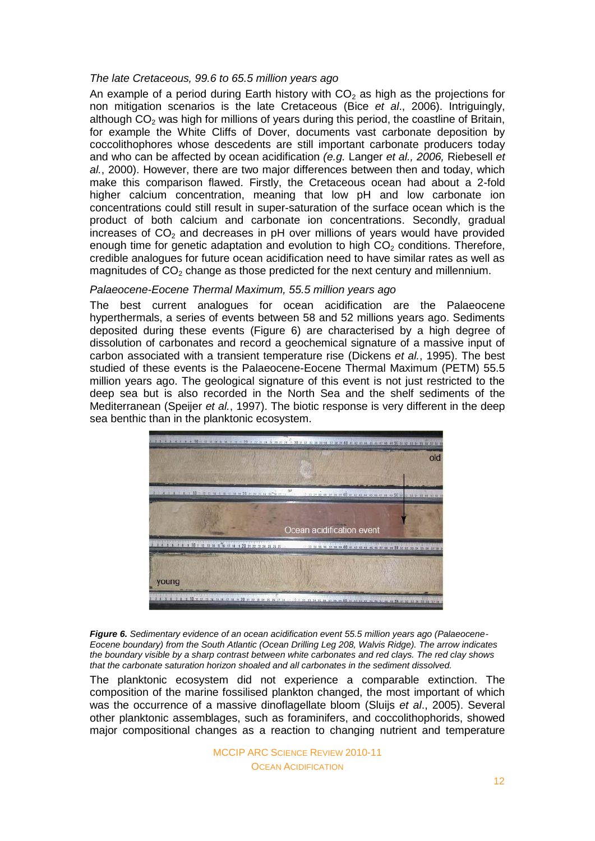## *The late Cretaceous, 99.6 to 65.5 million years ago*

An example of a period during Earth history with  $CO<sub>2</sub>$  as high as the projections for non mitigation scenarios is the late Cretaceous (Bice *et al*., 2006). Intriguingly, although  $CO<sub>2</sub>$  was high for millions of years during this period, the coastline of Britain, for example the White Cliffs of Dover, documents vast carbonate deposition by coccolithophores whose descedents are still important carbonate producers today and who can be affected by ocean acidification *(e.g.* Langer *et al., 2006,* Riebesell *et al.*, 2000). However, there are two major differences between then and today, which make this comparison flawed. Firstly, the Cretaceous ocean had about a 2-fold higher calcium concentration, meaning that low pH and low carbonate ion concentrations could still result in super-saturation of the surface ocean which is the product of both calcium and carbonate ion concentrations. Secondly, gradual increases of  $CO<sub>2</sub>$  and decreases in pH over millions of years would have provided enough time for genetic adaptation and evolution to high  $CO<sub>2</sub>$  conditions. Therefore, credible analogues for future ocean acidification need to have similar rates as well as magnitudes of  $CO<sub>2</sub>$  change as those predicted for the next century and millennium.

## *Palaeocene-Eocene Thermal Maximum, 55.5 million years ago*

The best current analogues for ocean acidification are the Palaeocene hyperthermals, a series of events between 58 and 52 millions years ago. Sediments deposited during these events (Figure 6) are characterised by a high degree of dissolution of carbonates and record a geochemical signature of a massive input of carbon associated with a transient temperature rise (Dickens *et al.*, 1995). The best studied of these events is the Palaeocene-Eocene Thermal Maximum (PETM) 55.5 million years ago. The geological signature of this event is not just restricted to the deep sea but is also recorded in the North Sea and the shelf sediments of the Mediterranean (Speijer *et al.*, 1997). The biotic response is very different in the deep sea benthic than in the planktonic ecosystem.



*Figure 6. Sedimentary evidence of an ocean acidification event 55.5 million years ago (Palaeocene-Eocene boundary) from the South Atlantic (Ocean Drilling Leg 208, Walvis Ridge). The arrow indicates the boundary visible by a sharp contrast between white carbonates and red clays. The red clay shows that the carbonate saturation horizon shoaled and all carbonates in the sediment dissolved.*

The planktonic ecosystem did not experience a comparable extinction. The composition of the marine fossilised plankton changed, the most important of which was the occurrence of a massive dinoflagellate bloom (Sluijs *et al*., 2005). Several other planktonic assemblages, such as foraminifers, and coccolithophorids, showed major compositional changes as a reaction to changing nutrient and temperature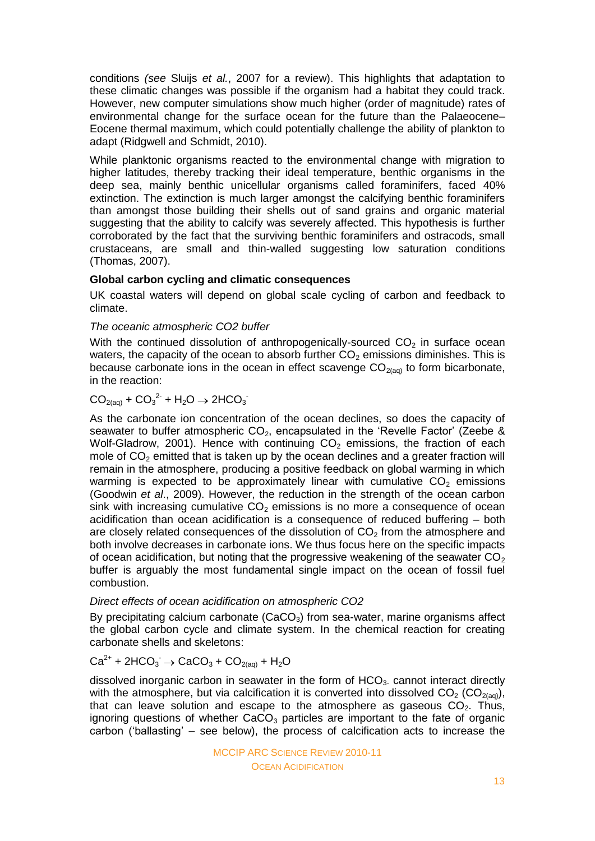conditions *(see* Sluijs *et al.*, 2007 for a review). This highlights that adaptation to these climatic changes was possible if the organism had a habitat they could track. However, new computer simulations show much higher (order of magnitude) rates of environmental change for the surface ocean for the future than the Palaeocene– Eocene thermal maximum, which could potentially challenge the ability of plankton to adapt (Ridgwell and Schmidt, 2010).

While planktonic organisms reacted to the environmental change with migration to higher latitudes, thereby tracking their ideal temperature, benthic organisms in the deep sea, mainly benthic unicellular organisms called foraminifers, faced 40% extinction. The extinction is much larger amongst the calcifying benthic foraminifers than amongst those building their shells out of sand grains and organic material suggesting that the ability to calcify was severely affected. This hypothesis is further corroborated by the fact that the surviving benthic foraminifers and ostracods, small crustaceans, are small and thin-walled suggesting low saturation conditions (Thomas, 2007).

## **Global carbon cycling and climatic consequences**

UK coastal waters will depend on global scale cycling of carbon and feedback to climate.

## *The oceanic atmospheric CO2 buffer*

With the continued dissolution of anthropogenically-sourced  $CO<sub>2</sub>$  in surface ocean waters, the capacity of the ocean to absorb further  $CO<sub>2</sub>$  emissions diminishes. This is because carbonate ions in the ocean in effect scavenge  $CO<sub>2(aq)</sub>$  to form bicarbonate, in the reaction:

# $CO<sub>2(aq)</sub> + CO<sub>3</sub><sup>2</sup> + H<sub>2</sub>O \rightarrow 2HCO<sub>3</sub>$

As the carbonate ion concentration of the ocean declines, so does the capacity of seawater to buffer atmospheric  $CO<sub>2</sub>$ , encapsulated in the 'Revelle Factor' (Zeebe & Wolf-Gladrow, 2001). Hence with continuing  $CO<sub>2</sub>$  emissions, the fraction of each mole of  $CO<sub>2</sub>$  emitted that is taken up by the ocean declines and a greater fraction will remain in the atmosphere, producing a positive feedback on global warming in which warming is expected to be approximately linear with cumulative  $CO<sub>2</sub>$  emissions (Goodwin *et al*., 2009). However, the reduction in the strength of the ocean carbon sink with increasing cumulative  $CO<sub>2</sub>$  emissions is no more a consequence of ocean acidification than ocean acidification is a consequence of reduced buffering – both are closely related consequences of the dissolution of  $CO<sub>2</sub>$  from the atmosphere and both involve decreases in carbonate ions. We thus focus here on the specific impacts of ocean acidification, but noting that the progressive weakening of the seawater  $CO<sub>2</sub>$ buffer is arguably the most fundamental single impact on the ocean of fossil fuel combustion.

### *Direct effects of ocean acidification on atmospheric CO2*

By precipitating calcium carbonate  $(CaCO<sub>3</sub>)$  from sea-water, marine organisms affect the global carbon cycle and climate system. In the chemical reaction for creating carbonate shells and skeletons:

# $Ca^{2+}$  + 2HCO<sub>3</sub>  $\rightarrow$  CaCO<sub>3</sub> + CO<sub>2(aq)</sub> + H<sub>2</sub>O

dissolved inorganic carbon in seawater in the form of  $HCO<sub>3</sub>$  cannot interact directly with the atmosphere, but via calcification it is converted into dissolved  $CO<sub>2</sub> (CO<sub>2(aq)</sub>)$ , that can leave solution and escape to the atmosphere as gaseous  $CO<sub>2</sub>$ . Thus, ignoring questions of whether  $CaCO<sub>3</sub>$  particles are important to the fate of organic carbon ("ballasting" – see below), the process of calcification acts to increase the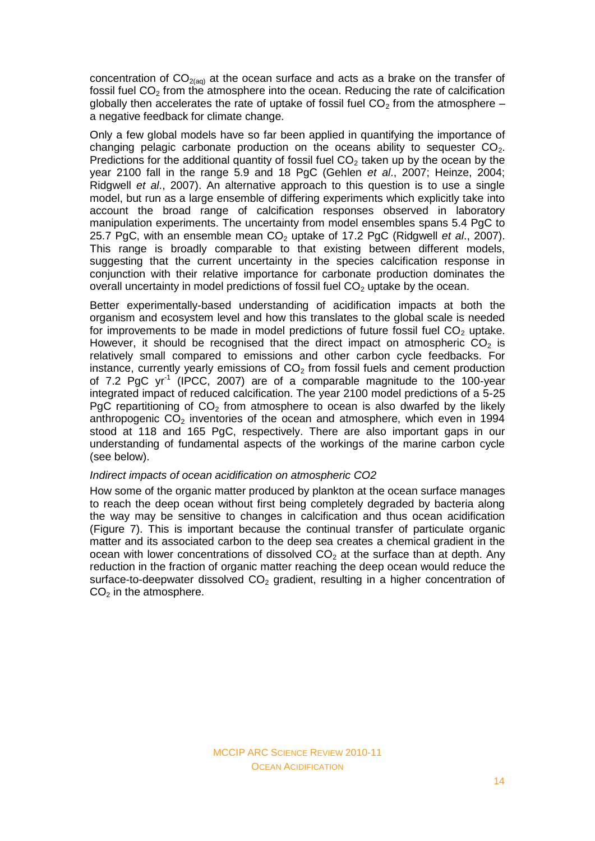concentration of  $CO<sub>2(aq)</sub>$  at the ocean surface and acts as a brake on the transfer of fossil fuel  $CO<sub>2</sub>$  from the atmosphere into the ocean. Reducing the rate of calcification globally then accelerates the rate of uptake of fossil fuel  $CO<sub>2</sub>$  from the atmosphere – a negative feedback for climate change.

Only a few global models have so far been applied in quantifying the importance of changing pelagic carbonate production on the oceans ability to sequester  $CO<sub>2</sub>$ . Predictions for the additional quantity of fossil fuel  $CO<sub>2</sub>$  taken up by the ocean by the year 2100 fall in the range 5.9 and 18 PgC (Gehlen *et al*., 2007; Heinze, 2004; Ridgwell *et al*., 2007). An alternative approach to this question is to use a single model, but run as a large ensemble of differing experiments which explicitly take into account the broad range of calcification responses observed in laboratory manipulation experiments. The uncertainty from model ensembles spans 5.4 PgC to 25.7 PgC, with an ensemble mean CO<sub>2</sub> uptake of 17.2 PgC (Ridgwell *et al.*, 2007). This range is broadly comparable to that existing between different models, suggesting that the current uncertainty in the species calcification response in conjunction with their relative importance for carbonate production dominates the overall uncertainty in model predictions of fossil fuel  $CO<sub>2</sub>$  uptake by the ocean.

Better experimentally-based understanding of acidification impacts at both the organism and ecosystem level and how this translates to the global scale is needed for improvements to be made in model predictions of future fossil fuel  $CO<sub>2</sub>$  uptake. However, it should be recognised that the direct impact on atmospheric  $CO<sub>2</sub>$  is relatively small compared to emissions and other carbon cycle feedbacks. For instance, currently yearly emissions of  $CO<sub>2</sub>$  from fossil fuels and cement production of 7.2 PgC yr<sup>-1</sup> (IPCC, 2007) are of a comparable magnitude to the 100-year integrated impact of reduced calcification. The year 2100 model predictions of a 5-25 PgC repartitioning of  $CO<sub>2</sub>$  from atmosphere to ocean is also dwarfed by the likely anthropogenic  $CO<sub>2</sub>$  inventories of the ocean and atmosphere, which even in 1994 stood at 118 and 165 PgC, respectively. There are also important gaps in our understanding of fundamental aspects of the workings of the marine carbon cycle (see below).

## *Indirect impacts of ocean acidification on atmospheric CO2*

How some of the organic matter produced by plankton at the ocean surface manages to reach the deep ocean without first being completely degraded by bacteria along the way may be sensitive to changes in calcification and thus ocean acidification (Figure 7). This is important because the continual transfer of particulate organic matter and its associated carbon to the deep sea creates a chemical gradient in the ocean with lower concentrations of dissolved  $CO<sub>2</sub>$  at the surface than at depth. Any reduction in the fraction of organic matter reaching the deep ocean would reduce the surface-to-deepwater dissolved  $CO<sub>2</sub>$  gradient, resulting in a higher concentration of  $CO<sub>2</sub>$  in the atmosphere.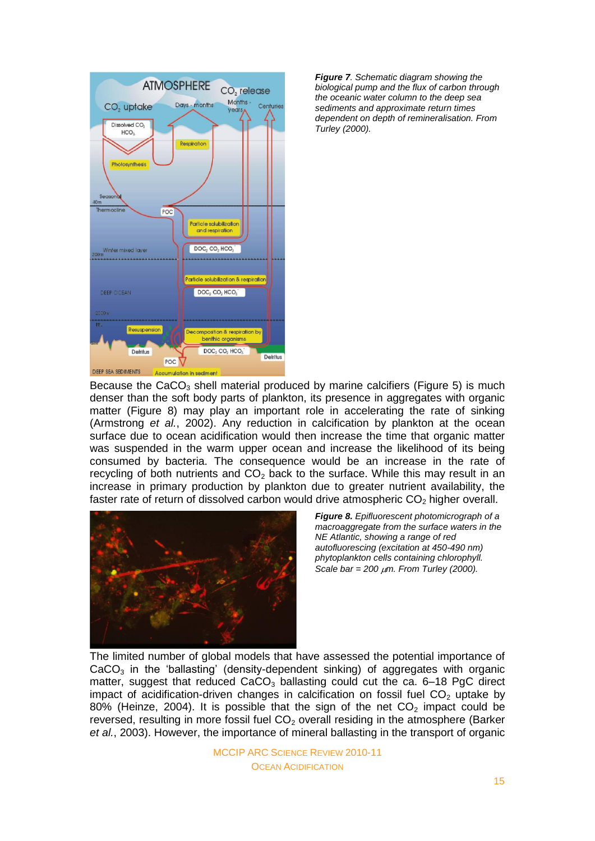



Because the  $CaCO<sub>3</sub>$  shell material produced by marine calcifiers (Figure 5) is much denser than the soft body parts of plankton, its presence in aggregates with organic matter (Figure 8) may play an important role in accelerating the rate of sinking (Armstrong *et al.*, 2002). Any reduction in calcification by plankton at the ocean surface due to ocean acidification would then increase the time that organic matter was suspended in the warm upper ocean and increase the likelihood of its being consumed by bacteria. The consequence would be an increase in the rate of recycling of both nutrients and  $CO<sub>2</sub>$  back to the surface. While this may result in an increase in primary production by plankton due to greater nutrient availability, the faster rate of return of dissolved carbon would drive atmospheric  $CO<sub>2</sub>$  higher overall.



*Figure 8. Epifluorescent photomicrograph of a macroaggregate from the surface waters in the NE Atlantic, showing a range of red autofluorescing (excitation at 450-490 nm) phytoplankton cells containing chlorophyll. Scale bar = 200 μm. From Turley (2000).* 

The limited number of global models that have assessed the potential importance of  $CaCO<sub>3</sub>$  in the 'ballasting' (density-dependent sinking) of aggregates with organic matter, suggest that reduced  $CaCO<sub>3</sub>$  ballasting could cut the ca. 6-18 PgC direct impact of acidification-driven changes in calcification on fossil fuel  $CO<sub>2</sub>$  uptake by 80% (Heinze, 2004). It is possible that the sign of the net  $CO<sub>2</sub>$  impact could be reversed, resulting in more fossil fuel  $CO<sub>2</sub>$  overall residing in the atmosphere (Barker *et al.*, 2003). However, the importance of mineral ballasting in the transport of organic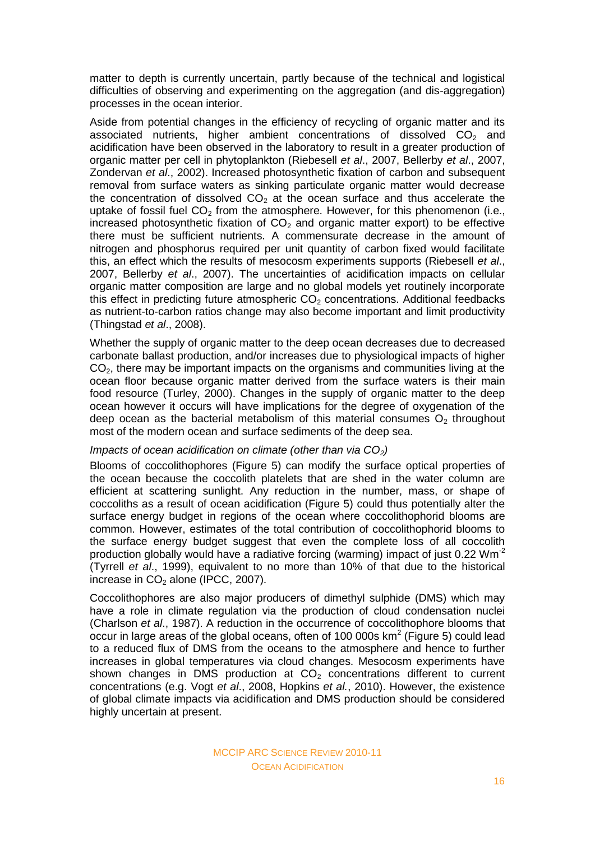matter to depth is currently uncertain, partly because of the technical and logistical difficulties of observing and experimenting on the aggregation (and dis-aggregation) processes in the ocean interior.

Aside from potential changes in the efficiency of recycling of organic matter and its associated nutrients, higher ambient concentrations of dissolved  $CO<sub>2</sub>$  and acidification have been observed in the laboratory to result in a greater production of organic matter per cell in phytoplankton (Riebesell *et al*., 2007, Bellerby *et al*., 2007, Zondervan *et al*., 2002). Increased photosynthetic fixation of carbon and subsequent removal from surface waters as sinking particulate organic matter would decrease the concentration of dissolved  $CO<sub>2</sub>$  at the ocean surface and thus accelerate the uptake of fossil fuel  $CO<sub>2</sub>$  from the atmosphere. However, for this phenomenon (i.e., increased photosynthetic fixation of  $CO<sub>2</sub>$  and organic matter export) to be effective there must be sufficient nutrients. A commensurate decrease in the amount of nitrogen and phosphorus required per unit quantity of carbon fixed would facilitate this, an effect which the results of mesocosm experiments supports (Riebesell *et al*., 2007, Bellerby *et al*., 2007). The uncertainties of acidification impacts on cellular organic matter composition are large and no global models yet routinely incorporate this effect in predicting future atmospheric  $CO<sub>2</sub>$  concentrations. Additional feedbacks as nutrient-to-carbon ratios change may also become important and limit productivity (Thingstad *et al*., 2008).

Whether the supply of organic matter to the deep ocean decreases due to decreased carbonate ballast production, and/or increases due to physiological impacts of higher  $CO<sub>2</sub>$ , there may be important impacts on the organisms and communities living at the ocean floor because organic matter derived from the surface waters is their main food resource (Turley, 2000). Changes in the supply of organic matter to the deep ocean however it occurs will have implications for the degree of oxygenation of the deep ocean as the bacterial metabolism of this material consumes  $O<sub>2</sub>$  throughout most of the modern ocean and surface sediments of the deep sea.

### *Impacts of ocean acidification on climate (other than via CO<sub>2</sub>)*

Blooms of coccolithophores (Figure 5) can modify the surface optical properties of the ocean because the coccolith platelets that are shed in the water column are efficient at scattering sunlight. Any reduction in the number, mass, or shape of coccoliths as a result of ocean acidification (Figure 5) could thus potentially alter the surface energy budget in regions of the ocean where coccolithophorid blooms are common. However, estimates of the total contribution of coccolithophorid blooms to the surface energy budget suggest that even the complete loss of all coccolith production globally would have a radiative forcing (warming) impact of just 0.22 Wm-2 (Tyrrell *et al*., 1999), equivalent to no more than 10% of that due to the historical increase in  $CO<sub>2</sub>$  alone (IPCC, 2007).

Coccolithophores are also major producers of dimethyl sulphide (DMS) which may have a role in climate regulation via the production of cloud condensation nuclei (Charlson *et al*., 1987). A reduction in the occurrence of coccolithophore blooms that occur in large areas of the global oceans, often of 100 000s  $km^2$  (Figure 5) could lead to a reduced flux of DMS from the oceans to the atmosphere and hence to further increases in global temperatures via cloud changes. Mesocosm experiments have shown changes in DMS production at  $CO<sub>2</sub>$  concentrations different to current concentrations (e.g. Vogt *et al*., 2008, Hopkins *et al.*, 2010). However, the existence of global climate impacts via acidification and DMS production should be considered highly uncertain at present.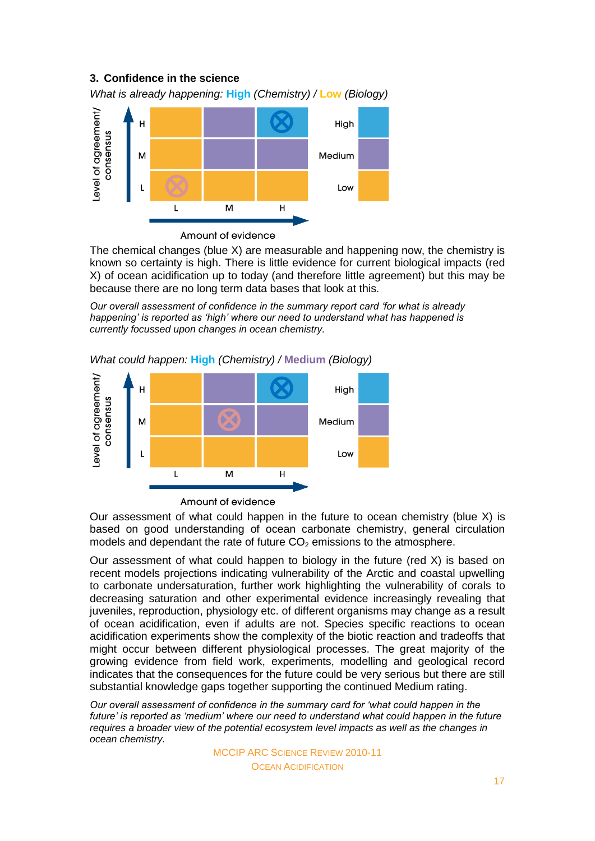# **3. Confidence in the science**

*What is already happening:* **High** *(Chemistry) /* **Low** *(Biology)*



Amount of evidence

The chemical changes (blue X) are measurable and happening now, the chemistry is known so certainty is high. There is little evidence for current biological impacts (red X) of ocean acidification up to today (and therefore little agreement) but this may be because there are no long term data bases that look at this.

*Our overall assessment of confidence in the summary report card 'for what is already happening' is reported as 'high' where our need to understand what has happened is currently focussed upon changes in ocean chemistry.* 



*What could happen:* **High** *(Chemistry) /* **Medium** *(Biology)* 

Amount of evidence

Our assessment of what could happen in the future to ocean chemistry (blue X) is based on good understanding of ocean carbonate chemistry, general circulation models and dependant the rate of future  $CO<sub>2</sub>$  emissions to the atmosphere.

Our assessment of what could happen to biology in the future (red X) is based on recent models projections indicating vulnerability of the Arctic and coastal upwelling to carbonate undersaturation, further work highlighting the vulnerability of corals to decreasing saturation and other experimental evidence increasingly revealing that juveniles, reproduction, physiology etc. of different organisms may change as a result of ocean acidification, even if adults are not. Species specific reactions to ocean acidification experiments show the complexity of the biotic reaction and tradeoffs that might occur between different physiological processes. The great majority of the growing evidence from field work, experiments, modelling and geological record indicates that the consequences for the future could be very serious but there are still substantial knowledge gaps together supporting the continued Medium rating.

*Our overall assessment of confidence in the summary card for 'what could happen in the future' is reported as 'medium' where our need to understand what could happen in the future requires a broader view of the potential ecosystem level impacts as well as the changes in ocean chemistry.*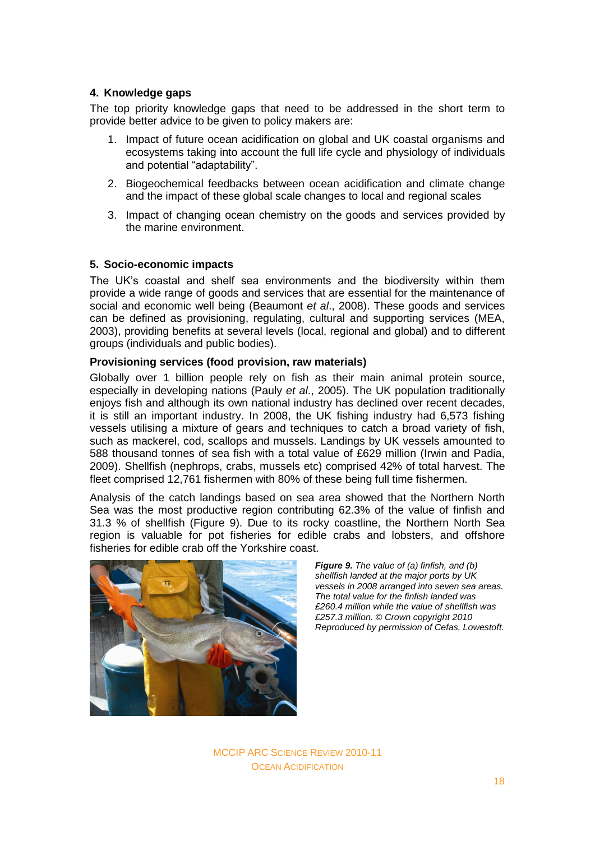# **4. Knowledge gaps**

The top priority knowledge gaps that need to be addressed in the short term to provide better advice to be given to policy makers are:

- 1. Impact of future ocean acidification on global and UK coastal organisms and ecosystems taking into account the full life cycle and physiology of individuals and potential "adaptability".
- 2. Biogeochemical feedbacks between ocean acidification and climate change and the impact of these global scale changes to local and regional scales
- 3. Impact of changing ocean chemistry on the goods and services provided by the marine environment.

## **5. Socio-economic impacts**

The UK"s coastal and shelf sea environments and the biodiversity within them provide a wide range of goods and services that are essential for the maintenance of social and economic well being (Beaumont *et al*., 2008). These goods and services can be defined as provisioning, regulating, cultural and supporting services (MEA, 2003), providing benefits at several levels (local, regional and global) and to different groups (individuals and public bodies).

## **Provisioning services (food provision, raw materials)**

Globally over 1 billion people rely on fish as their main animal protein source, especially in developing nations (Pauly *et al*., 2005). The UK population traditionally enjoys fish and although its own national industry has declined over recent decades. it is still an important industry. In 2008, the UK fishing industry had 6,573 fishing vessels utilising a mixture of gears and techniques to catch a broad variety of fish, such as mackerel, cod, scallops and mussels. Landings by UK vessels amounted to 588 thousand tonnes of sea fish with a total value of £629 million (Irwin and Padia, 2009). Shellfish (nephrops, crabs, mussels etc) comprised 42% of total harvest. The fleet comprised 12,761 fishermen with 80% of these being full time fishermen.

Analysis of the catch landings based on sea area showed that the Northern North Sea was the most productive region contributing 62.3% of the value of finfish and 31.3 % of shellfish (Figure 9). Due to its rocky coastline, the Northern North Sea region is valuable for pot fisheries for edible crabs and lobsters, and offshore fisheries for edible crab off the Yorkshire coast.



*Figure 9. The value of (a) finfish, and (b) shellfish landed at the major ports by UK vessels in 2008 arranged into seven sea areas. The total value for the finfish landed was £260.4 million while the value of shellfish was £257.3 million. © Crown copyright 2010 Reproduced by permission of Cefas, Lowestoft.*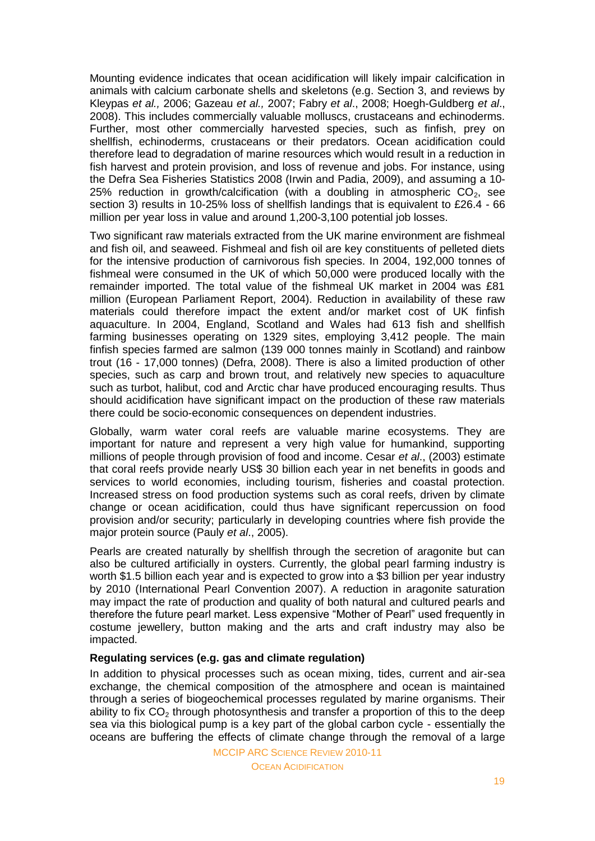Mounting evidence indicates that ocean acidification will likely impair calcification in animals with calcium carbonate shells and skeletons (e.g. Section 3, and reviews by Kleypas *et al.,* 2006; Gazeau *et al.,* 2007; Fabry *et al*., 2008; Hoegh-Guldberg *et al*., 2008). This includes commercially valuable molluscs, crustaceans and echinoderms. Further, most other commercially harvested species, such as finfish, prey on shellfish, echinoderms, crustaceans or their predators. Ocean acidification could therefore lead to degradation of marine resources which would result in a reduction in fish harvest and protein provision, and loss of revenue and jobs. For instance, using the Defra Sea Fisheries Statistics 2008 (Irwin and Padia, 2009), and assuming a 10- 25% reduction in growth/calcification (with a doubling in atmospheric  $CO<sub>2</sub>$ , see section 3) results in 10-25% loss of shellfish landings that is equivalent to £26.4 - 66 million per year loss in value and around 1,200-3,100 potential job losses.

Two significant raw materials extracted from the UK marine environment are fishmeal and fish oil, and seaweed. Fishmeal and fish oil are key constituents of pelleted diets for the intensive production of carnivorous fish species. In 2004, 192,000 tonnes of fishmeal were consumed in the UK of which 50,000 were produced locally with the remainder imported. The total value of the fishmeal UK market in 2004 was £81 million (European Parliament Report, 2004). Reduction in availability of these raw materials could therefore impact the extent and/or market cost of UK finfish aquaculture. In 2004, England, Scotland and Wales had 613 fish and shellfish farming businesses operating on 1329 sites, employing 3,412 people. The main finfish species farmed are salmon (139 000 tonnes mainly in Scotland) and rainbow trout (16 - 17,000 tonnes) (Defra, 2008). There is also a limited production of other species, such as carp and brown trout, and relatively new species to aquaculture such as turbot, halibut, cod and Arctic char have produced encouraging results. Thus should acidification have significant impact on the production of these raw materials there could be socio-economic consequences on dependent industries.

Globally, warm water coral reefs are valuable marine ecosystems. They are important for nature and represent a very high value for humankind, supporting millions of people through provision of food and income. Cesar *et al*., (2003) estimate that coral reefs provide nearly US\$ 30 billion each year in net benefits in goods and services to world economies, including tourism, fisheries and coastal protection. Increased stress on food production systems such as coral reefs, driven by climate change or ocean acidification, could thus have significant repercussion on food provision and/or security; particularly in developing countries where fish provide the major protein source (Pauly *et al*., 2005).

Pearls are created naturally by shellfish through the secretion of aragonite but can also be cultured artificially in oysters. Currently, the global pearl farming industry is worth \$1.5 billion each year and is expected to grow into a \$3 billion per year industry by 2010 (International Pearl Convention 2007). A reduction in aragonite saturation may impact the rate of production and quality of both natural and cultured pearls and therefore the future pearl market. Less expensive "Mother of Pearl" used frequently in costume jewellery, button making and the arts and craft industry may also be impacted.

## **Regulating services (e.g. gas and climate regulation)**

In addition to physical processes such as ocean mixing, tides, current and air-sea exchange, the chemical composition of the atmosphere and ocean is maintained through a series of biogeochemical processes regulated by marine organisms. Their ability to fix  $CO<sub>2</sub>$  through photosynthesis and transfer a proportion of this to the deep sea via this biological pump is a key part of the global carbon cycle - essentially the oceans are buffering the effects of climate change through the removal of a large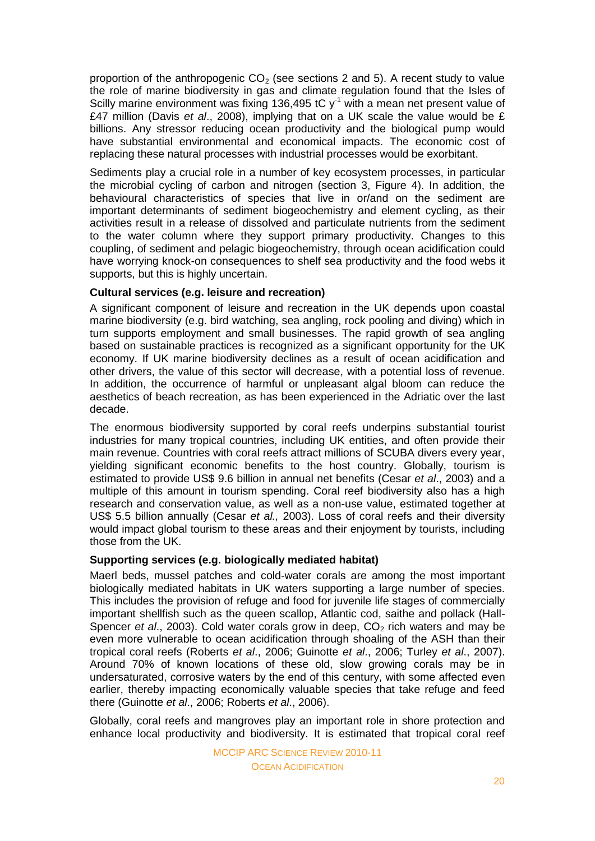proportion of the anthropogenic  $CO<sub>2</sub>$  (see sections 2 and 5). A recent study to value the role of marine biodiversity in gas and climate regulation found that the Isles of Scilly marine environment was fixing 136,495 tC  $y<sup>-1</sup>$  with a mean net present value of £47 million (Davis *et al*., 2008), implying that on a UK scale the value would be £ billions. Any stressor reducing ocean productivity and the biological pump would have substantial environmental and economical impacts. The economic cost of replacing these natural processes with industrial processes would be exorbitant.

Sediments play a crucial role in a number of key ecosystem processes, in particular the microbial cycling of carbon and nitrogen (section 3, Figure 4). In addition, the behavioural characteristics of species that live in or/and on the sediment are important determinants of sediment biogeochemistry and element cycling, as their activities result in a release of dissolved and particulate nutrients from the sediment to the water column where they support primary productivity. Changes to this coupling, of sediment and pelagic biogeochemistry, through ocean acidification could have worrying knock-on consequences to shelf sea productivity and the food webs it supports, but this is highly uncertain.

## **Cultural services (e.g. leisure and recreation)**

A significant component of leisure and recreation in the UK depends upon coastal marine biodiversity (e.g. bird watching, sea angling, rock pooling and diving) which in turn supports employment and small businesses. The rapid growth of sea angling based on sustainable practices is recognized as a significant opportunity for the UK economy. If UK marine biodiversity declines as a result of ocean acidification and other drivers, the value of this sector will decrease, with a potential loss of revenue. In addition, the occurrence of harmful or unpleasant algal bloom can reduce the aesthetics of beach recreation, as has been experienced in the Adriatic over the last decade.

The enormous biodiversity supported by coral reefs underpins substantial tourist industries for many tropical countries, including UK entities, and often provide their main revenue. Countries with coral reefs attract millions of SCUBA divers every year, yielding significant economic benefits to the host country. Globally, tourism is estimated to provide US\$ 9.6 billion in annual net benefits (Cesar *et al*., 2003) and a multiple of this amount in tourism spending. Coral reef biodiversity also has a high research and conservation value, as well as a non-use value, estimated together at US\$ 5.5 billion annually (Cesar *et al.,* 2003). Loss of coral reefs and their diversity would impact global tourism to these areas and their enjoyment by tourists, including those from the UK.

# **Supporting services (e.g. biologically mediated habitat)**

Maerl beds, mussel patches and cold-water corals are among the most important biologically mediated habitats in UK waters supporting a large number of species. This includes the provision of refuge and food for juvenile life stages of commercially important shellfish such as the queen scallop, Atlantic cod, saithe and pollack (Hall-Spencer *et al.*, 2003). Cold water corals grow in deep,  $CO<sub>2</sub>$  rich waters and may be even more vulnerable to ocean acidification through shoaling of the ASH than their tropical coral reefs (Roberts *et al*., 2006; Guinotte *et al*., 2006; Turley *et al*., 2007). Around 70% of known locations of these old, slow growing corals may be in undersaturated, corrosive waters by the end of this century, with some affected even earlier, thereby impacting economically valuable species that take refuge and feed there (Guinotte *et al*., 2006; Roberts *et al*., 2006).

Globally, coral reefs and mangroves play an important role in shore protection and enhance local productivity and biodiversity. It is estimated that tropical coral reef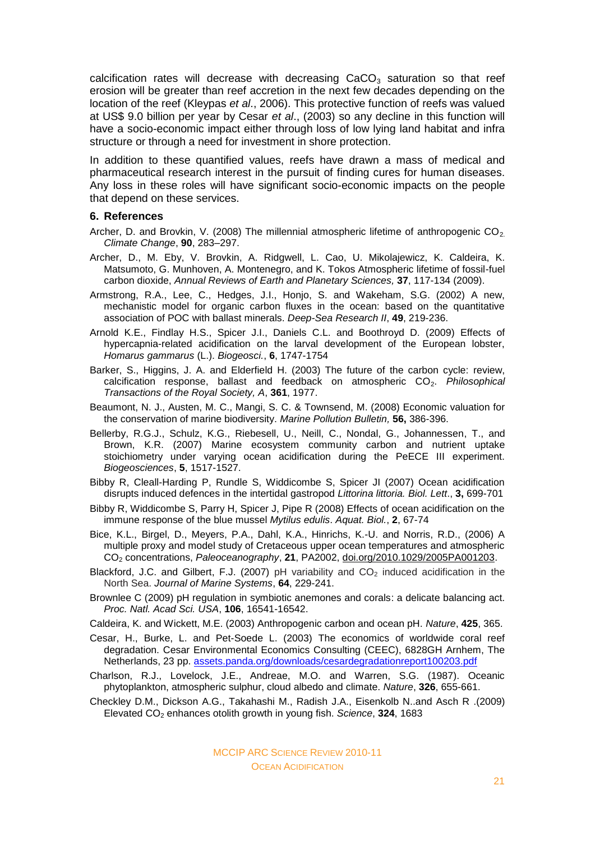calcification rates will decrease with decreasing  $CaCO<sub>3</sub>$  saturation so that reef erosion will be greater than reef accretion in the next few decades depending on the location of the reef (Kleypas *et al*., 2006). This protective function of reefs was valued at US\$ 9.0 billion per year by Cesar *et al*., (2003) so any decline in this function will have a socio-economic impact either through loss of low lying land habitat and infra structure or through a need for investment in shore protection.

In addition to these quantified values, reefs have drawn a mass of medical and pharmaceutical research interest in the pursuit of finding cures for human diseases. Any loss in these roles will have significant socio-economic impacts on the people that depend on these services.

#### **6. References**

- Archer, D. and Brovkin, V. (2008) The millennial atmospheric lifetime of anthropogenic  $CO<sub>2</sub>$ . *Climate Change*, **90**, 283–297.
- Archer, D., M. Eby, V. Brovkin, A. Ridgwell, L. Cao, U. Mikolajewicz, K. Caldeira, K. Matsumoto, G. Munhoven, A. Montenegro, and K. Tokos Atmospheric lifetime of fossil-fuel carbon dioxide, *Annual Reviews of Earth and Planetary Sciences,* **37**, 117-134 (2009).
- Armstrong, R.A., Lee, C., Hedges, J.I., Honjo, S. and Wakeham, S.G. (2002) A new, mechanistic model for organic carbon fluxes in the ocean: based on the quantitative association of POC with ballast minerals. *Deep-Sea Research II*, **49**, 219-236.
- Arnold K.E., Findlay H.S., Spicer J.I., Daniels C.L. and Boothroyd D. (2009) Effects of hypercapnia-related acidification on the larval development of the European lobster, *Homarus gammarus* (L.). *Biogeosci.*, **6**, 1747-1754
- Barker, S., Higgins, J. A. and Elderfield H. (2003) The future of the carbon cycle: review, calcification response, ballast and feedback on atmospheric CO2. *Philosophical Transactions of the Royal Society, A*, **361**, 1977.
- Beaumont, N. J., Austen, M. C., Mangi, S. C. & Townsend, M. (2008) Economic valuation for the conservation of marine biodiversity. *Marine Pollution Bulletin,* **56,** 386-396.
- Bellerby, R.G.J., Schulz, K.G., Riebesell, U., Neill, C., Nondal, G., Johannessen, T., and Brown, K.R. (2007) Marine ecosystem community carbon and nutrient uptake stoichiometry under varying ocean acidification during the PeECE III experiment. *Biogeosciences*, **5**, 1517-1527.
- Bibby R, Cleall-Harding P, Rundle S, Widdicombe S, Spicer JI (2007) Ocean acidification disrupts induced defences in the intertidal gastropod *Littorina littoria. Biol. Lett*., **3,** 699-701
- Bibby R, Widdicombe S, Parry H, Spicer J, Pipe R (2008) Effects of ocean acidification on the immune response of the blue mussel *Mytilus edulis*. *Aquat. Biol.*, **2**, 67-74
- Bice, K.L., Birgel, D., Meyers, P.A., Dahl, K.A., Hinrichs, K.-U. and Norris, R.D., (2006) A multiple proxy and model study of Cretaceous upper ocean temperatures and atmospheric CO<sup>2</sup> concentrations, *Paleoceanography*, **21**, PA2002, [doi.org/2010.1029/2005PA001203.](http://dx.doi.org/2010.1029/2005PA001203)
- Blackford, J.C. and Gilbert, F.J. (2007) pH variability and  $CO<sub>2</sub>$  induced acidification in the North Sea. *Journal of Marine Systems*, **64**, 229-241.
- Brownlee C (2009) pH regulation in symbiotic anemones and corals: a delicate balancing act. *Proc. Natl. Acad Sci. USA*, **106**, 16541-16542.
- Caldeira, K. and Wickett, M.E. (2003) Anthropogenic carbon and ocean pH. *Nature*, **425**, 365.
- Cesar, H., Burke, L. and Pet-Soede L. (2003) The economics of worldwide coral reef degradation. Cesar Environmental Economics Consulting (CEEC), 6828GH Arnhem, The Netherlands, 23 pp. [assets.panda.org/downloads/cesardegradationreport100203.pdf](http://assets.panda.org/downloads/cesardegradationreport100203.pdf)
- Charlson, R.J., Lovelock, J.E., Andreae, M.O. and Warren, S.G. (1987). Oceanic phytoplankton, atmospheric sulphur, cloud albedo and climate. *Nature*, **326**, 655-661.
- Checkley D.M., Dickson A.G., Takahashi M., Radish J.A., Eisenkolb N..and Asch R .(2009) Elevated CO<sup>2</sup> enhances otolith growth in young fish. *Science*, **324**, 1683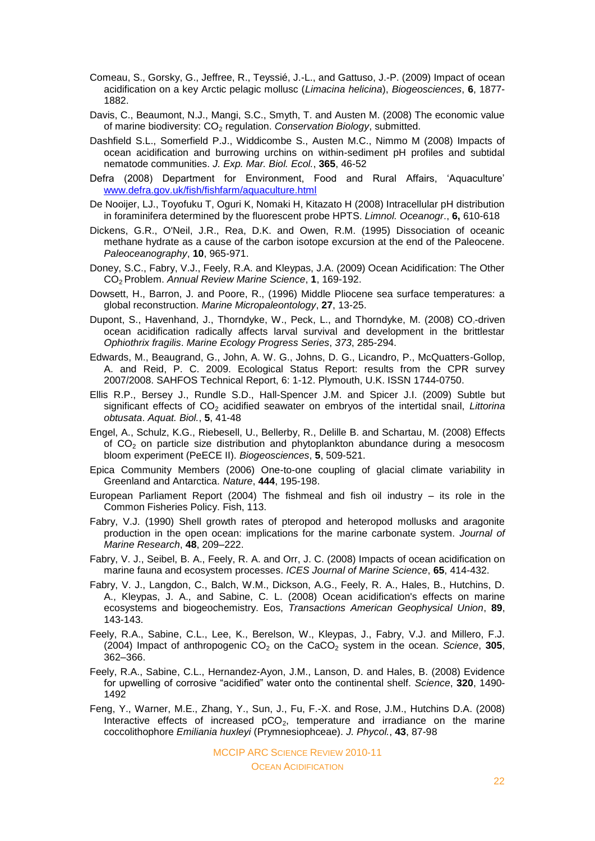- Comeau, S., Gorsky, G., Jeffree, R., Teyssié, J.-L., and Gattuso, J.-P. (2009) Impact of ocean acidification on a key Arctic pelagic mollusc (*Limacina helicina*), *Biogeosciences*, **6**, 1877- 1882.
- Davis, C., Beaumont, N.J., Mangi, S.C., Smyth, T. and Austen M. (2008) The economic value of marine biodiversity: CO<sub>2</sub> regulation. *Conservation Biology*, submitted.
- Dashfield S.L., Somerfield P.J., Widdicombe S., Austen M.C., Nimmo M (2008) Impacts of ocean acidification and burrowing urchins on within-sediment pH profiles and subtidal nematode communities. *J. Exp. Mar. Biol. Ecol.*, **365**, 46-52
- Defra (2008) Department for Environment, Food and Rural Affairs, "Aquaculture" [www.defra.gov.uk/fish/fishfarm/aquaculture.html](http://www.defra.gov.uk/fish/fishfarm/aquaculture.html)
- De Nooijer, LJ., Toyofuku T, Oguri K, Nomaki H, Kitazato H (2008) Intracellular pH distribution in foraminifera determined by the fluorescent probe HPTS. *Limnol. Oceanogr*., **6,** 610-618
- Dickens, G.R., O'Neil, J.R., Rea, D.K. and Owen, R.M. (1995) Dissociation of oceanic methane hydrate as a cause of the carbon isotope excursion at the end of the Paleocene. *Paleoceanography*, **10**, 965-971.
- Doney, S.C., Fabry, V.J., Feely, R.A. and Kleypas, J.A. (2009) Ocean Acidification: The Other CO2 Problem. *Annual Review Marine Science*, **1**, 169-192.
- Dowsett, H., Barron, J. and Poore, R., (1996) Middle Pliocene sea surface temperatures: a global reconstruction. *Marine Micropaleontology*, **27**, 13-25.
- Dupont, S., Havenhand, J., Thorndyke, W., Peck, L., and Thorndyke, M. (2008) CO<sub>2</sub>-driven ocean acidification radically affects larval survival and development in the brittlestar *Ophiothrix fragilis*. *Marine Ecology Progress Series*, *373*, 285-294.
- Edwards, M., Beaugrand, G., John, A. W. G., Johns, D. G., Licandro, P., McQuatters-Gollop, A. and Reid, P. C. 2009. Ecological Status Report: results from the CPR survey 2007/2008. SAHFOS Technical Report, 6: 1-12. Plymouth, U.K. ISSN 1744-0750.
- Ellis R.P., Bersey J., Rundle S.D., Hall-Spencer J.M. and Spicer J.I. (2009) Subtle but significant effects of CO<sup>2</sup> acidified seawater on embryos of the intertidal snail, *Littorina obtusata*. *Aquat. Biol.*, **5**, 41-48
- Engel, A., Schulz, K.G., Riebesell, U., Bellerby, R., Delille B. and Schartau, M. (2008) Effects of CO<sup>2</sup> on particle size distribution and phytoplankton abundance during a mesocosm bloom experiment (PeECE II). *Biogeosciences*, **5**, 509-521.
- Epica Community Members (2006) One-to-one coupling of glacial climate variability in Greenland and Antarctica. *Nature*, **444**, 195-198.
- European Parliament Report (2004) The fishmeal and fish oil industry its role in the Common Fisheries Policy. Fish, 113.
- Fabry, V.J. (1990) Shell growth rates of pteropod and heteropod mollusks and aragonite production in the open ocean: implications for the marine carbonate system. *Journal of Marine Research*, **48**, 209–222.
- Fabry, V. J., Seibel, B. A., Feely, R. A. and Orr, J. C. (2008) Impacts of ocean acidification on marine fauna and ecosystem processes. *ICES Journal of Marine Science*, **65**, 414-432.
- Fabry, V. J., Langdon, C., Balch, W.M., Dickson, A.G., Feely, R. A., Hales, B., Hutchins, D. A., Kleypas, J. A., and Sabine, C. L. (2008) Ocean acidification's effects on marine ecosystems and biogeochemistry. Eos, *Transactions American Geophysical Union*, **89**, 143-143.
- Feely, R.A., Sabine, C.L., Lee, K., Berelson, W., Kleypas, J., Fabry, V.J. and Millero, F.J. (2004) Impact of anthropogenic  $CO<sub>2</sub>$  on the  $CaCO<sub>2</sub>$  system in the ocean. *Science*, **305**, 362–366.
- Feely, R.A., Sabine, C.L., Hernandez-Ayon, J.M., Lanson, D. and Hales, B. (2008) Evidence for upwelling of corrosive "acidified" water onto the continental shelf. *Science*, **320**, 1490- 1492
- Feng, Y., Warner, M.E., Zhang, Y., Sun, J., Fu, F.-X. and Rose, J.M., Hutchins D.A. (2008) Interactive effects of increased  $pCO<sub>2</sub>$ , temperature and irradiance on the marine coccolithophore *Emiliania huxleyi* (Prymnesiophceae). *J. Phycol.*, **43**, 87-98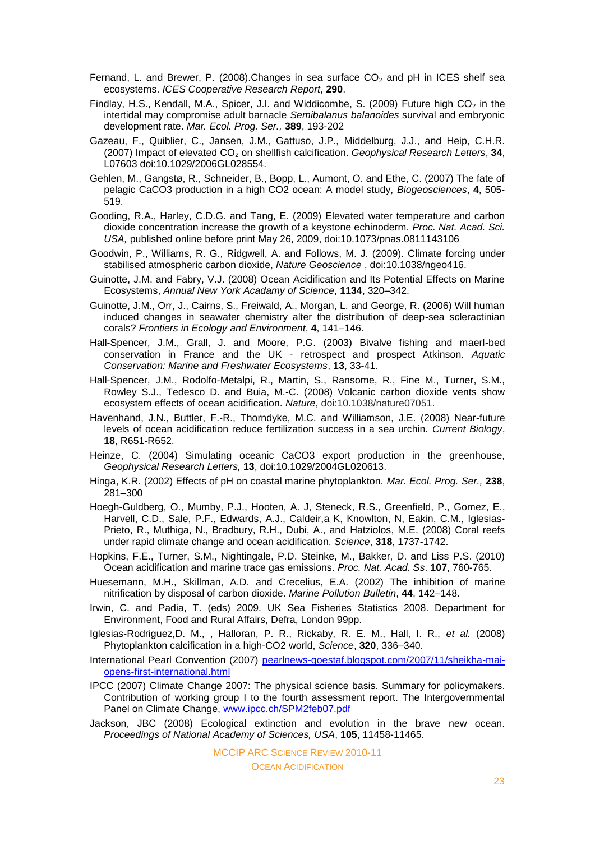- Fernand, L. and Brewer, P. (2008). Changes in sea surface  $CO<sub>2</sub>$  and pH in ICES shelf sea ecosystems. *ICES Cooperative Research Report*, **290**.
- Findlay, H.S., Kendall, M.A., Spicer, J.I. and Widdicombe, S. (2009) Future high  $CO<sub>2</sub>$  in the intertidal may compromise adult barnacle *Semibalanus balanoides* survival and embryonic development rate. *Mar. Ecol. Prog. Ser.,* **389**, 193-202
- Gazeau, F., Quiblier, C., Jansen, J.M., Gattuso, J.P., Middelburg, J.J., and Heip, C.H.R. (2007) Impact of elevated CO<sub>2</sub> on shellfish calcification. *Geophysical Research Letters*, 34, L07603 doi:10.1029/2006GL028554.
- Gehlen, M., Gangstø, R., Schneider, B., Bopp, L., Aumont, O. and Ethe, C. (2007) The fate of pelagic CaCO3 production in a high CO2 ocean: A model study, *Biogeosciences*, **4**, 505- 519.
- Gooding, R.A., Harley, C.D.G. and Tang, E. (2009) Elevated water temperature and carbon dioxide concentration increase the growth of a keystone echinoderm. *Proc. Nat. Acad. Sci. USA,* published online before print May 26, 2009, doi:10.1073/pnas.0811143106
- Goodwin, P., Williams, R. G., Ridgwell, A. and Follows, M. J. (2009). Climate forcing under stabilised atmospheric carbon dioxide, *Nature Geoscience* , doi:10.1038/ngeo416.
- Guinotte, J.M. and Fabry, V.J. (2008) Ocean Acidification and Its Potential Effects on Marine Ecosystems, *Annual New York Acadamy of Science*, **1134**, 320–342.
- Guinotte, J.M., Orr, J., Cairns, S., Freiwald, A., Morgan, L. and George, R. (2006) Will human induced changes in seawater chemistry alter the distribution of deep-sea scleractinian corals? *Frontiers in Ecology and Environment*, **4**, 141–146.
- Hall-Spencer, J.M., Grall, J. and Moore, P.G. (2003) Bivalve fishing and maerl-bed conservation in France and the UK - retrospect and prospect Atkinson. *Aquatic Conservation: Marine and Freshwater Ecosystems*, **13**, 33-41.
- Hall-Spencer, J.M., Rodolfo-Metalpi, R., Martin, S., Ransome, R., Fine M., Turner, S.M., Rowley S.J., Tedesco D. and Buia, M.-C. (2008) Volcanic carbon dioxide vents show ecosystem effects of ocean acidification. *Nature*, doi:10.1038/nature07051.
- Havenhand, J.N., Buttler, F.-R., Thorndyke, M.C. and Williamson, J.E. (2008) Near-future levels of ocean acidification reduce fertilization success in a sea urchin. *Current Biology*, **18**, R651-R652.
- Heinze, C. (2004) Simulating oceanic CaCO3 export production in the greenhouse, *Geophysical Research Letters,* **13**, doi:10.1029/2004GL020613.
- Hinga, K.R. (2002) Effects of pH on coastal marine phytoplankton. *Mar. Ecol. Prog. Ser.,* **238**, 281–300
- Hoegh-Guldberg, O., Mumby, P.J., Hooten, A. J, Steneck, R.S., Greenfield, P., Gomez, E., Harvell, C.D., Sale, P.F., Edwards, A.J., Caldeir,a K, Knowlton, N, Eakin, C.M., Iglesias-Prieto, R., Muthiga, N., Bradbury, R.H., Dubi, A., and Hatziolos, M.E. (2008) Coral reefs under rapid climate change and ocean acidification. *Science*, **318**, 1737-1742.
- Hopkins, F.E., Turner, S.M., Nightingale, P.D. Steinke, M., Bakker, D. and Liss P.S. (2010) Ocean acidification and marine trace gas emissions. *Proc. Nat. Acad. Ss*. **107**, 760-765.
- Huesemann, M.H., Skillman, A.D. and Crecelius, E.A. (2002) The inhibition of marine nitrification by disposal of carbon dioxide. *Marine Pollution Bulletin*, **44**, 142–148.
- Irwin, C. and Padia, T. (eds) 2009. UK Sea Fisheries Statistics 2008. Department for Environment, Food and Rural Affairs, Defra, London 99pp.
- Iglesias-Rodriguez,D. M., , Halloran, P. R., Rickaby, R. E. M., Hall, I. R., *et al.* (2008) Phytoplankton calcification in a high-CO2 world, *Science*, **320**, 336–340.
- International Pearl Convention (2007) [pearlnews-goestaf.blogspot.com/2007/11/sheikha-mai](http://pearlnews-goestaf.blogspot.com/2007/11/sheikha-mai-opens-first-international.html)[opens-first-international.html](http://pearlnews-goestaf.blogspot.com/2007/11/sheikha-mai-opens-first-international.html)
- IPCC (2007) Climate Change 2007: The physical science basis. Summary for policymakers. Contribution of working group I to the fourth assessment report. The Intergovernmental Panel on Climate Change, [www.ipcc.ch/SPM2feb07.pdf](http://www.ipcc.ch/SPM2feb07.pdf)
- Jackson, JBC (2008) Ecological extinction and evolution in the brave new ocean. *Proceedings of National Academy of Sciences, USA*, **105**, 11458-11465.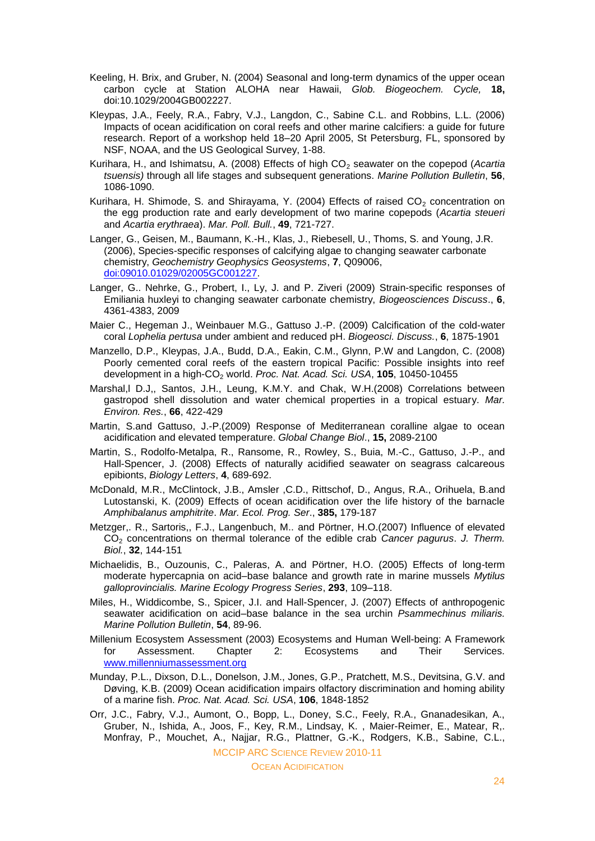- Keeling, H. Brix, and Gruber, N. (2004) Seasonal and long-term dynamics of the upper ocean carbon cycle at Station ALOHA near Hawaii, *Glob. Biogeochem. Cycle,* **18,** doi:10.1029/2004GB002227.
- Kleypas, J.A., Feely, R.A., Fabry, V.J., Langdon, C., Sabine C.L. and Robbins, L.L. (2006) Impacts of ocean acidification on coral reefs and other marine calcifiers: a guide for future research. Report of a workshop held 18–20 April 2005, St Petersburg, FL, sponsored by NSF, NOAA, and the US Geological Survey, 1-88.
- Kurihara, H., and Ishimatsu, A. (2008) Effects of high CO<sub>2</sub> seawater on the copepod (Acartia *tsuensis)* through all life stages and subsequent generations. *Marine Pollution Bulletin*, **56**, 1086-1090.
- Kurihara, H. Shimode, S. and Shirayama, Y. (2004) Effects of raised  $CO<sub>2</sub>$  concentration on the egg production rate and early development of two marine copepods (*Acartia steueri* and *Acartia erythraea*). *Mar. Poll. Bull.*, **49**, 721-727.
- Langer, G., Geisen, M., Baumann, K.-H., Klas, J., Riebesell, U., Thoms, S. and Young, J.R. (2006), Species-specific responses of calcifying algae to changing seawater carbonate chemistry, *Geochemistry Geophysics Geosystems*, **7**, Q09006, [doi:09010.01029/02005GC001227.](http://dx.doi.org/09010.01029/02005GC001227)
- Langer, G.. Nehrke, G., Probert, I., Ly, J. and P. Ziveri (2009) Strain-specific responses of Emiliania huxleyi to changing seawater carbonate chemistry, *Biogeosciences Discuss*., **6**, 4361-4383, 2009
- Maier C., Hegeman J., Weinbauer M.G., Gattuso J.-P. (2009) Calcification of the cold-water coral *Lophelia pertusa* under ambient and reduced pH. *Biogeosci. Discuss.*, **6**, 1875-1901
- Manzello, D.P., Kleypas, J.A., Budd, D.A., Eakin, C.M., Glynn, P.W and Langdon, C. (2008) Poorly cemented coral reefs of the eastern tropical Pacific: Possible insights into reef development in a high-CO<sub>2</sub> world. *Proc. Nat. Acad. Sci. USA*, 105, 10450-10455
- Marshal,l D.J,, Santos, J.H., Leung, K.M.Y. and Chak, W.H.(2008) Correlations between gastropod shell dissolution and water chemical properties in a tropical estuary. *Mar. Environ. Res.*, **66**, 422-429
- Martin, S.and Gattuso, J.-P.(2009) Response of Mediterranean coralline algae to ocean acidification and elevated temperature. *Global Change Biol*., **15,** 2089-2100
- Martin, S., Rodolfo-Metalpa, R., Ransome, R., Rowley, S., Buia, M.-C., Gattuso, J.-P., and Hall-Spencer, J. (2008) Effects of naturally acidified seawater on seagrass calcareous epibionts, *Biology Letters*, **4**, 689-692.
- McDonald, M.R., McClintock, J.B., Amsler ,C.D., Rittschof, D., Angus, R.A., Orihuela, B.and Lutostanski, K. (2009) Effects of ocean acidification over the life history of the barnacle *Amphibalanus amphitrite*. *Mar. Ecol. Prog. Ser*., **385,** 179-187
- Metzger,. R., Sartoris,, F.J., Langenbuch, M.. and Pörtner, H.O.(2007) Influence of elevated CO<sup>2</sup> concentrations on thermal tolerance of the edible crab *Cancer pagurus*. *J. Therm. Biol.*, **32**, 144-151
- Michaelidis, B., Ouzounis, C., Paleras, A. and Pörtner, H.O. (2005) Effects of long-term moderate hypercapnia on acid–base balance and growth rate in marine mussels *Mytilus galloprovincialis. Marine Ecology Progress Series*, **293**, 109–118.
- Miles, H., Widdicombe, S., Spicer, J.I. and Hall-Spencer, J. (2007) Effects of anthropogenic seawater acidification on acid–base balance in the sea urchin *Psammechinus miliaris. Marine Pollution Bulletin*, **54**, 89-96.
- Millenium Ecosystem Assessment (2003) Ecosystems and Human Well-being: A Framework for Assessment. Chapter 2: Ecosystems and Their Services. [www.millenniumassessment.org](http://www.millenniumassessment.org/)
- Munday, P.L., Dixson, D.L., Donelson, J.M., Jones, G.P., Pratchett, M.S., Devitsina, G.V. and Døving, K.B. (2009) Ocean acidification impairs olfactory discrimination and homing ability of a marine fish. *Proc. Nat. Acad. Sci. USA*, **106**, 1848-1852
- Orr, J.C., Fabry, V.J., Aumont, O., Bopp, L., Doney, S.C., Feely, R.A., Gnanadesikan, A., Gruber, N., Ishida, A., Joos, F., Key, R.M., Lindsay, K. , Maier-Reimer, E., Matear, R,. Monfray, P., Mouchet, A., Najjar, R.G., Plattner, G.-K., Rodgers, K.B., Sabine, C.L.,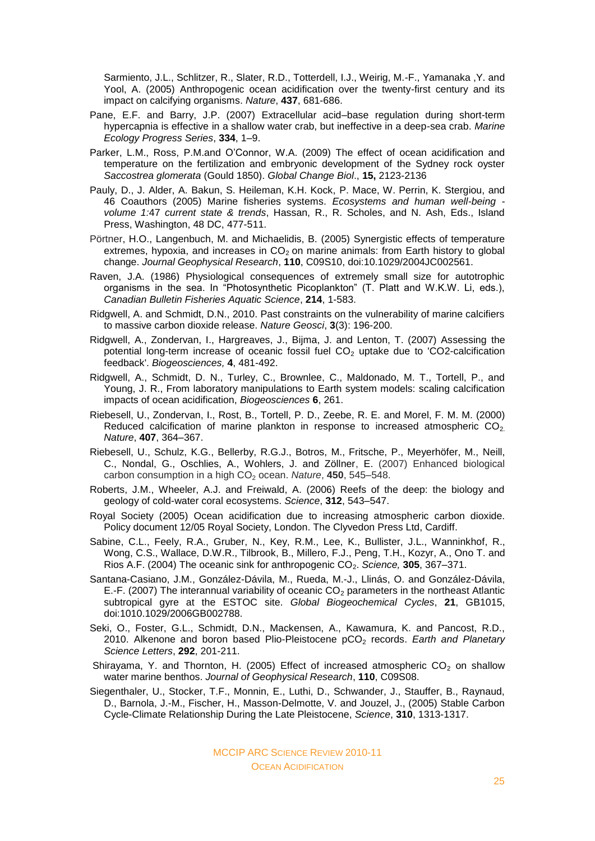Sarmiento, J.L., Schlitzer, R., Slater, R.D., Totterdell, I.J., Weirig, M.-F., Yamanaka ,Y. and Yool, A. (2005) Anthropogenic ocean acidification over the twenty-first century and its impact on calcifying organisms. *Nature*, **437**, 681-686.

- Pane, E.F. and Barry, J.P. (2007) Extracellular acid–base regulation during short-term hypercapnia is effective in a shallow water crab, but ineffective in a deep-sea crab. *Marine Ecology Progress Series*, **334**, 1–9.
- Parker, L.M., Ross, P.M.and O"Connor, W.A. (2009) The effect of ocean acidification and temperature on the fertilization and embryonic development of the Sydney rock oyster *Saccostrea glomerata* (Gould 1850). *Global Change Biol*., **15,** 2123-2136
- Pauly, D., J. Alder, A. Bakun, S. Heileman, K.H. Kock, P. Mace, W. Perrin, K. Stergiou, and 46 Coauthors (2005) Marine fisheries systems. *Ecosystems and human well-being volume 1:*47 *current state & trends*, Hassan, R., R. Scholes, and N. Ash, Eds., Island Press, Washington, 48 DC, 477-511.
- Pörtner, H.O., Langenbuch, M. and Michaelidis, B. (2005) Synergistic effects of temperature extremes, hypoxia, and increases in  $CO<sub>2</sub>$  on marine animals: from Earth history to global change. *Journal Geophysical Research*, **110**, C09S10, doi:10.1029/2004JC002561.
- Raven, J.A. (1986) Physiological consequences of extremely small size for autotrophic organisms in the sea. In "Photosynthetic Picoplankton" (T. Platt and W.K.W. Li, eds.), *Canadian Bulletin Fisheries Aquatic Science*, **214**, 1-583.
- Ridgwell, A. and Schmidt, D.N., 2010. Past constraints on the vulnerability of marine calcifiers to massive carbon dioxide release. *Nature Geosci*, **3**(3): 196-200.
- Ridgwell, A., Zondervan, I., Hargreaves, J., Bijma, J. and Lenton, T. (2007) Assessing the potential long-term increase of oceanic fossil fuel  $CO<sub>2</sub>$  uptake due to 'CO2-calcification feedback'. *Biogeosciences,* **4**, 481-492.
- Ridgwell, A., Schmidt, D. N., Turley, C., Brownlee, C., Maldonado, M. T., Tortell, P., and Young, J. R., From laboratory manipulations to Earth system models: scaling calcification impacts of ocean acidification, *Biogeosciences* **6**, 261.
- Riebesell, U., Zondervan, I., Rost, B., Tortell, P. D., Zeebe, R. E. and Morel, F. M. M. (2000) Reduced calcification of marine plankton in response to increased atmospheric  $CO<sub>2</sub>$ . *Nature*, **407**, 364–367.
- Riebesell, U., Schulz, K.G., Bellerby, R.G.J., Botros, M., Fritsche, P., Meyerhöfer, M., Neill, C., Nondal, G., Oschlies, A., Wohlers, J. and Zöllner, E. (2007) Enhanced biological carbon consumption in a high CO<sub>2</sub> ocean. *Nature*, **450**, 545–548.
- Roberts, J.M., Wheeler, A.J. and Freiwald, A. (2006) Reefs of the deep: the biology and geology of cold-water coral ecosystems. *Science*, **312**, 543–547.
- Royal Society (2005) Ocean acidification due to increasing atmospheric carbon dioxide. Policy document 12/05 Royal Society, London. The Clyvedon Press Ltd, Cardiff.
- Sabine, C.L., Feely, R.A., Gruber, N., Key, R.M., Lee, K., Bullister, J.L., Wanninkhof, R., Wong, C.S., Wallace, D.W.R., Tilbrook, B., Millero, F.J., Peng, T.H., Kozyr, A., Ono T. and Rios A.F. (2004) The oceanic sink for anthropogenic CO<sub>2</sub>. *Science*, **305**, 367–371.
- Santana-Casiano, J.M., González-Dávila, M., Rueda, M.-J., Llinás, O. and González-Dávila, E.-F. (2007) The interannual variability of oceanic  $CO<sub>2</sub>$  parameters in the northeast Atlantic subtropical gyre at the ESTOC site. *Global Biogeochemical Cycles*, **21**, GB1015, doi:1010.1029/2006GB002788.
- Seki, O., Foster, G.L., Schmidt, D.N., Mackensen, A., Kawamura, K. and Pancost, R.D., 2010. Alkenone and boron based Plio-Pleistocene pCO<sub>2</sub> records. *Earth and Planetary Science Letters*, **292**, 201-211.
- Shirayama, Y. and Thornton, H. (2005) Effect of increased atmospheric  $CO<sub>2</sub>$  on shallow water marine benthos. *Journal of Geophysical Research*, **110**, C09S08.
- Siegenthaler, U., Stocker, T.F., Monnin, E., Luthi, D., Schwander, J., Stauffer, B., Raynaud, D., Barnola, J.-M., Fischer, H., Masson-Delmotte, V. and Jouzel, J., (2005) Stable Carbon Cycle-Climate Relationship During the Late Pleistocene, *Science*, **310**, 1313-1317.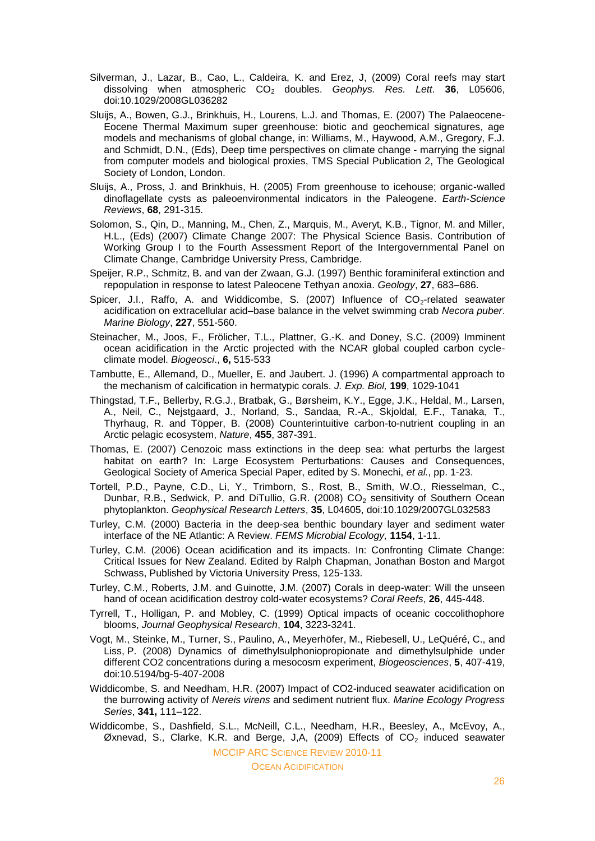- Silverman, J., Lazar, B., Cao, L., Caldeira, K. and Erez, J, (2009) Coral reefs may start dissolving when atmospheric CO<sup>2</sup> doubles. *Geophys. Res. Lett*. **36**, L05606, doi:10.1029/2008GL036282
- Sluijs, A., Bowen, G.J., Brinkhuis, H., Lourens, L.J. and Thomas, E. (2007) The Palaeocene-Eocene Thermal Maximum super greenhouse: biotic and geochemical signatures, age models and mechanisms of global change, in: Williams, M., Haywood, A.M., Gregory, F.J. and Schmidt, D.N., (Eds), Deep time perspectives on climate change - marrying the signal from computer models and biological proxies, TMS Special Publication 2, The Geological Society of London, London.
- Sluijs, A., Pross, J. and Brinkhuis, H. (2005) From greenhouse to icehouse; organic-walled dinoflagellate cysts as paleoenvironmental indicators in the Paleogene. *Earth-Science Reviews*, **68**, 291-315.
- Solomon, S., Qin, D., Manning, M., Chen, Z., Marquis, M., Averyt, K.B., Tignor, M. and Miller, H.L., (Eds) (2007) Climate Change 2007: The Physical Science Basis. Contribution of Working Group I to the Fourth Assessment Report of the Intergovernmental Panel on Climate Change, Cambridge University Press, Cambridge.
- Speijer, R.P., Schmitz, B. and van der Zwaan, G.J. (1997) Benthic foraminiferal extinction and repopulation in response to latest Paleocene Tethyan anoxia. *Geology*, **27**, 683–686.
- Spicer, J.I., Raffo, A. and Widdicombe, S. (2007) Influence of  $CO<sub>2</sub>$ -related seawater acidification on extracellular acid–base balance in the velvet swimming crab *Necora puber*. *Marine Biology*, **227**, 551-560.
- Steinacher, M., Joos, F., Frölicher, T.L., Plattner, G.-K. and Doney, S.C. (2009) Imminent ocean acidification in the Arctic projected with the NCAR global coupled carbon cycleclimate model. *Biogeosci*., **6,** 515-533
- Tambutte, E., Allemand, D., Mueller, E. and Jaubert. J. (1996) A compartmental approach to the mechanism of calcification in hermatypic corals. *J. Exp. Biol,* **199**, 1029-1041
- Thingstad, T.F., Bellerby, R.G.J., Bratbak, G., Børsheim, K.Y., Egge, J.K., Heldal, M., Larsen, A., Neil, C., Nejstgaard, J., Norland, S., Sandaa, R.-A., Skjoldal, E.F., Tanaka, T., Thyrhaug, R. and Töpper, B. (2008) Counterintuitive carbon-to-nutrient coupling in an Arctic pelagic ecosystem, *Nature*, **455**, 387-391.
- Thomas, E. (2007) Cenozoic mass extinctions in the deep sea: what perturbs the largest habitat on earth? In: Large Ecosystem Perturbations: Causes and Consequences, Geological Society of America Special Paper, edited by S. Monechi, *et al.*, pp. 1-23.
- Tortell, P.D., Payne, C.D., Li, Y., Trimborn, S., Rost, B., Smith, W.O., Riesselman, C., Dunbar, R.B., Sedwick, P. and DiTullio, G.R. (2008)  $CO<sub>2</sub>$  sensitivity of Southern Ocean phytoplankton. *Geophysical Research Letters*, **35**, L04605, doi:10.1029/2007GL032583
- Turley, C.M. (2000) Bacteria in the deep-sea benthic boundary layer and sediment water interface of the NE Atlantic: A Review. *FEMS Microbial Ecology,* **1154**, 1-11.
- Turley, C.M. (2006) Ocean acidification and its impacts. In: Confronting Climate Change: Critical Issues for New Zealand. Edited by Ralph Chapman, Jonathan Boston and Margot Schwass, Published by Victoria University Press, 125-133.
- Turley, C.M., Roberts, J.M. and Guinotte, J.M. (2007) Corals in deep-water: Will the unseen hand of ocean acidification destroy cold-water ecosystems? *Coral Reefs*, **26**, 445-448.
- Tyrrell, T., Holligan, P. and Mobley, C. (1999) Optical impacts of oceanic coccolithophore blooms, *Journal Geophysical Research*, **104**, 3223-3241.
- Vogt, M., Steinke, M., Turner, S., Paulino, A., Meyerhöfer, M., Riebesell, U., LeQuéré, C., and Liss, P. (2008) Dynamics of dimethylsulphoniopropionate and dimethylsulphide under different CO2 concentrations during a mesocosm experiment, *Biogeosciences*, **5**, 407-419, doi:10.5194/bg-5-407-2008
- Widdicombe, S. and Needham, H.R. (2007) Impact of CO2-induced seawater acidification on the burrowing activity of *Nereis virens* and sediment nutrient flux. *Marine Ecology Progress Series*, **341,** 111–122.
- Widdicombe, S., Dashfield, S.L., McNeill, C.L., Needham, H.R., Beesley, A., McEvoy, A., Øxnevad, S., Clarke, K.R. and Berge, J.A, (2009) Effects of  $CO<sub>2</sub>$  induced seawater